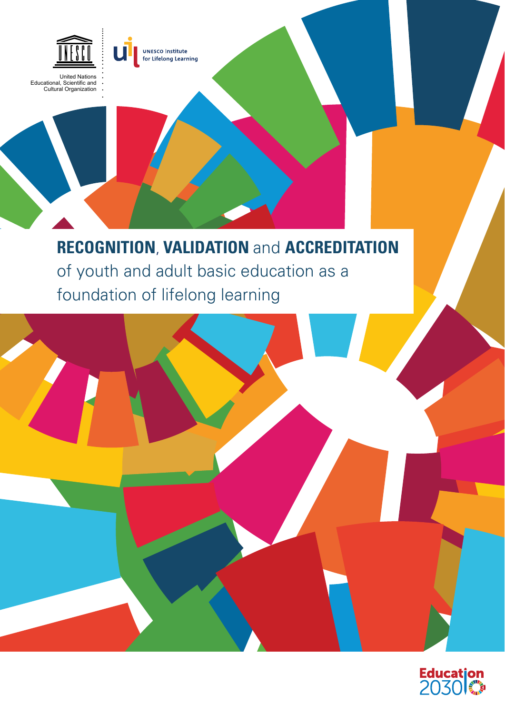

Educational, Scientific and Cultural Organization



### **RECOGNITION**, **VALIDATION** and **ACCREDITATION** of youth and adult basic education as a foundation of lifelong learning



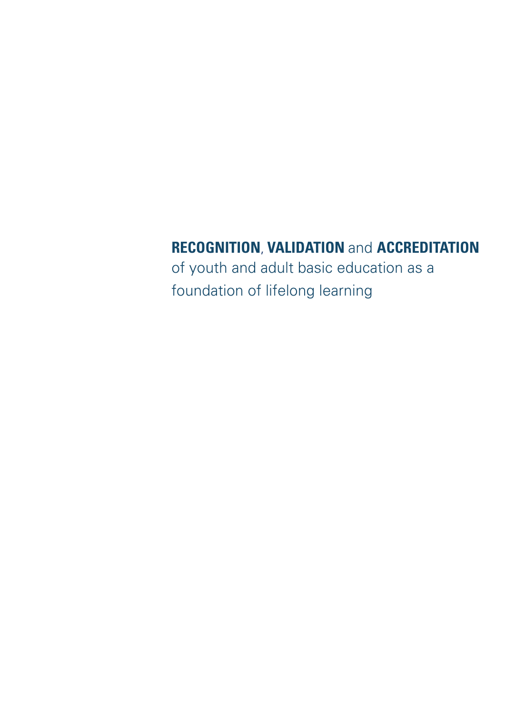### **RECOGNITION**, **VALIDATION** and **ACCREDITATION**

of youth and adult basic education as a foundation of lifelong learning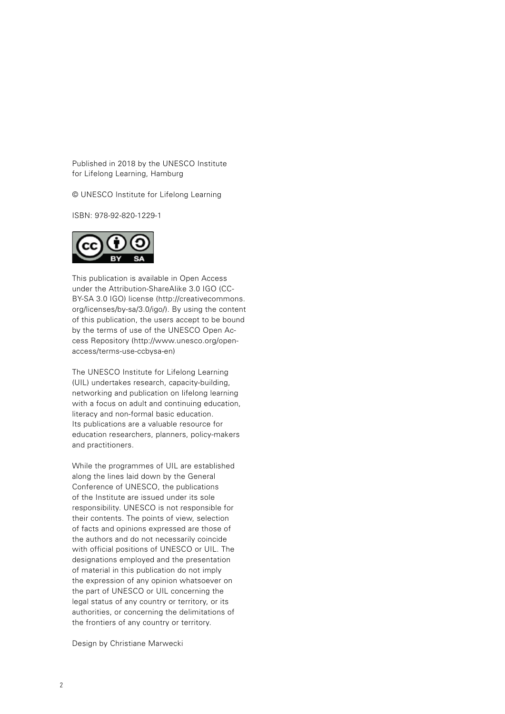Published in 2018 by the UNESCO Institute for Lifelong Learning, Hamburg

© UNESCO Institute for Lifelong Learning

ISBN: 978-92-820-1229-1



This publication is available in Open Access under the Attribution-ShareAlike 3.0 IGO (CC-BY-SA 3.0 IGO) license ([http://creativecommons.](http://creativecommons.org/licenses/by-sa/3.0/igo/) [org/licenses/by-sa/3.0/igo/\). B](http://creativecommons.org/licenses/by-sa/3.0/igo/)y using the content of this publication, the users accept to be bound by the terms of use of the UNESCO Open Ac[cess Repository \(http://www.unesco.org/open](http://www.unesco.org/open-access/terms-use-ccbysa-en)access/[terms-use-ccbysa-en\)](http://www.unesco.org/open-access/terms-use-ccbysa-en)

The UNESCO Institute for Lifelong Learning (UIL) undertakes research, capacity-building, networking and publication on lifelong learning with a focus on adult and continuing education, literacy and non-formal basic education. Its publications are a valuable resource for education researchers, planners, policy-makers and practitioners.

While the programmes of UIL are established along the lines laid down by the General Conference of UNESCO, the publications of the Institute are issued under its sole responsibility. UNESCO is not responsible for their contents. The points of view, selection of facts and opinions expressed are those of the authors and do not necessarily coincide with official positions of UNESCO or UIL. The designations employed and the presentation of material in this publication do not imply the expression of any opinion whatsoever on the part of UNESCO or UIL concerning the legal status of any country or territory, or its authorities, or concerning the delimitations of the frontiers of any country or territory.

Design by Christiane Marwecki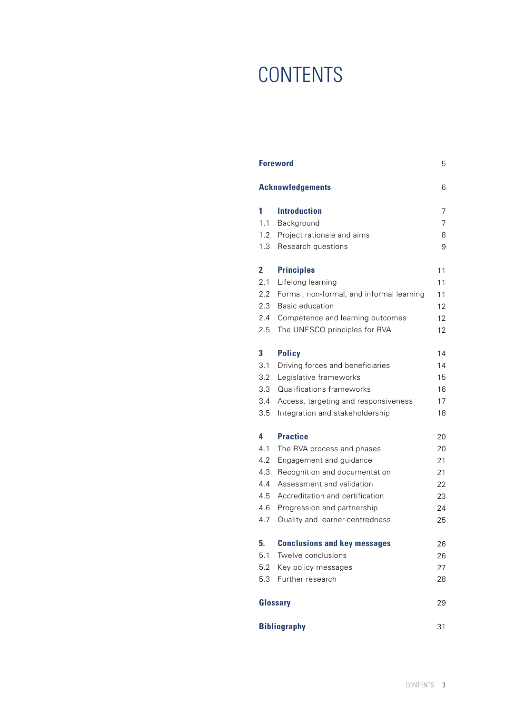# **CONTENTS**

| <b>Foreword</b>              |                                           | 5  |
|------------------------------|-------------------------------------------|----|
| <b>Acknowledgements</b><br>6 |                                           |    |
| 1                            | <b>Introduction</b>                       | 7  |
| 1.1                          | Background                                | 7  |
| 1.2                          | Project rationale and aims                | 8  |
| 1.3                          | Research questions                        | 9  |
| $\overline{2}$               | <b>Principles</b>                         | 11 |
| 2.1                          | Lifelong learning                         | 11 |
| 2.2                          | Formal, non-formal, and informal learning | 11 |
| 2.3                          | <b>Basic education</b>                    | 12 |
| 2.4                          | Competence and learning outcomes          | 12 |
| 2.5                          | The UNESCO principles for RVA             | 12 |
| 3                            | <b>Policy</b>                             | 14 |
| 3.1                          | Driving forces and beneficiaries          | 14 |
| 3.2                          | Legislative frameworks                    | 15 |
| 3.3                          | Qualifications frameworks                 | 16 |
| 3.4                          | Access, targeting and responsiveness      | 17 |
| 3.5                          | Integration and stakeholdership           | 18 |
| 4                            | <b>Practice</b>                           | 20 |
| 4.1                          | The RVA process and phases                | 20 |
| 4.2                          | Engagement and guidance                   | 21 |
| 4.3                          | Recognition and documentation             | 21 |
| 4.4                          | Assessment and validation                 | 22 |
| 4.5                          | Accreditation and certification           | 23 |
| 4.6                          | Progression and partnership               | 24 |
| 4.7                          | Quality and learner-centredness           | 25 |
| 5.                           | <b>Conclusions and key messages</b>       | 26 |
| 5.1                          | Twelve conclusions                        | 26 |
| 5.2                          | Key policy messages                       | 27 |
| 5.3                          | Further research                          | 28 |
| Glossary<br>29               |                                           |    |
| <b>Bibliography</b><br>31    |                                           |    |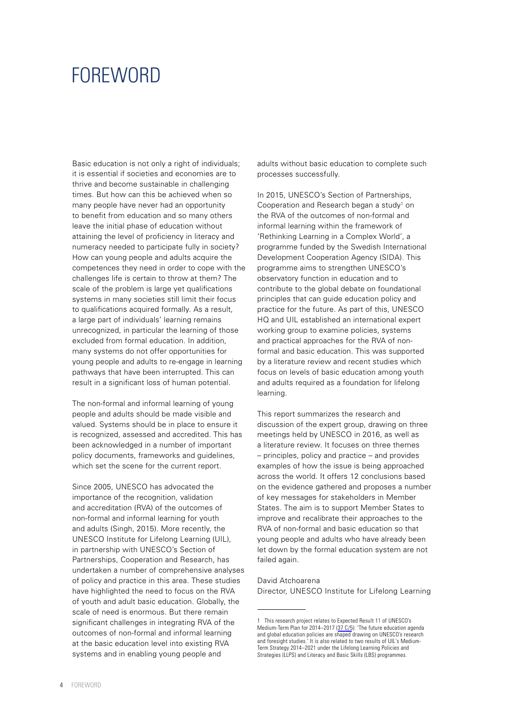### <span id="page-4-0"></span>FOREWORD

Basic education is not only a right of individuals; it is essential if societies and economies are to thrive and become sustainable in challenging times. But how can this be achieved when so many people have never had an opportunity to benefit from education and so many others leave the initial phase of education without attaining the level of proficiency in literacy and numeracy needed to participate fully in society? How can young people and adults acquire the competences they need in order to cope with the challenges life is certain to throw at them? The scale of the problem is large yet qualifications systems in many societies still limit their focus to qualifications acquired formally. As a result, a large part of individuals' learning remains unrecognized, in particular the learning of those excluded from formal education. In addition many systems do not offer opportunities for young people and adults to re-engage in learning pathways that have been interrupted. This can result in a significant loss of human potential.

The non-formal and informal learning of young people and adults should be made visible and valued. Systems should be in place to ensure it is recognized, assessed and accredited. This has been acknowledged in a number of important policy documents, frameworks and guidelines, which set the scene for the current report.

Since 2005, UNESCO has advocated the importance of the recognition, validation and accreditation (RVA) of the outcomes of non-formal and informal learning for youth and adults (Singh, 2015). More recently, the UNESCO Institute for Lifelong Learning (UIL), in partnership with UNESCO's Section of Partnerships, Cooperation and Research, has undertaken a number of comprehensive analyses of policy and practice in this area. These studies have highlighted the need to focus on the RVA of youth and adult basic education. Globally, the scale of need is enormous. But there remain significant challenges in integrating RVA of the outcomes of non-formal and informal learning at the basic education level into existing RVA systems and in enabling young people and

adults without basic education to complete such processes successfully.

In 2015, UNESCO's Section of Partnerships, Cooperation and Research began a study<sup>1</sup> on the RVA of the outcomes of non-formal and informal learning within the framework of 'Rethinking Learning in a Complex World', a programme funded by the Swedish International Development Cooperation Agency (SIDA). This programme aims to strengthen UNESCO's observatory function in education and to contribute to the global debate on foundational principles that can guide education policy and practice for the future. As part of this, UNESCO HQ and UIL established an international expert working group to examine policies, systems and practical approaches for the RVA of nonformal and basic education. This was supported by a literature review and recent studies which focus on levels of basic education among youth and adults required as a foundation for lifelong learning.

This report summarizes the research and discussion of the expert group, drawing on three meetings held by UNESCO in 2016, as well as a literature review. It focuses on three themes – principles, policy and practice – and provides examples of how the issue is being approached across the world. It offers 12 conclusions based on the evidence gathered and proposes a number of key messages for stakeholders in Member States. The aim is to support Member States to improve and recalibrate their approaches to the RVA of non-formal and basic education so that young people and adults who have already been let down by the formal education system are not failed again.

### David Atchoarena

Director, UNESCO Institute for Lifelong Learning

<sup>1</sup> This research project relates to Expected Result 11 of UNESCO's Medium-Term Plan for 2014–2017 [\(37 C/5](https://unesdoc.unesco.org/ark:/48223/pf0000226695_eng)): 'The future education agenda and global education policies are shaped drawing on UNESCO's research and foresight studies.' It is also related to two results of UIL's Medium-Term Strategy 2014–2021 under the Lifelong Learning Policies and Strategies (LLPS) and Literacy and Basic Skills (LBS) programmes.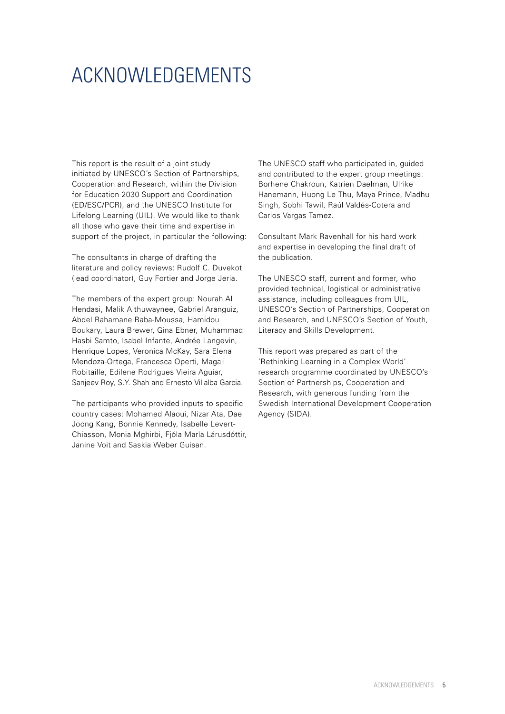# <span id="page-5-0"></span>ACKNOWLEDGEMENTS

This report is the result of a joint study initiated by UNESCO's Section of Partnerships, Cooperation and Research, within the Division for Education 2030 Support and Coordination (ED/ESC/PCR), and the UNESCO Institute for Lifelong Learning (UIL). We would like to thank all those who gave their time and expertise in support of the project, in particular the following:

The consultants in charge of drafting the literature and policy reviews: Rudolf C. Duvekot (lead coordinator), Guy Fortier and Jorge Jeria.

The members of the expert group: Nourah Al Hendasi, Malik Althuwaynee, Gabriel Aranguiz, Abdel Rahamane Baba-Moussa, Hamidou Boukary, Laura Brewer, Gina Ebner, Muhammad Hasbi Samto, Isabel Infante, Andrée Langevin, Henrique Lopes, Veronica McKay, Sara Elena Mendoza-Ortega, Francesca Operti, Magali Robitaille, Edilene Rodrigues Vieira Aguiar, Sanjeev Roy, S.Y. Shah and Ernesto Villalba Garcia.

The participants who provided inputs to specific country cases: Mohamed Alaoui, Nizar Ata, Dae Joong Kang, Bonnie Kennedy, Isabelle Levert-Chiasson, Monia Mghirbi, Fjóla María Lárusdóttir, Janine Voit and Saskia Weber Guisan.

The UNESCO staff who participated in, guided and contributed to the expert group meetings: Borhene Chakroun, Katrien Daelman, Ulrike Hanemann, Huong Le Thu, Maya Prince, Madhu Singh, Sobhi Tawil, Raúl Valdés-Cotera and Carlos Vargas Tamez.

Consultant Mark Ravenhall for his hard work and expertise in developing the final draft of the publication.

The UNESCO staff, current and former, who provided technical, logistical or administrative assistance, including colleagues from UIL, UNESCO's Section of Partnerships, Cooperation and Research, and UNESCO's Section of Youth, Literacy and Skills Development.

This report was prepared as part of the 'Rethinking Learning in a Complex World' research programme coordinated by UNESCO's Section of Partnerships, Cooperation and Research, with generous funding from the Swedish International Development Cooperation Agency (SIDA).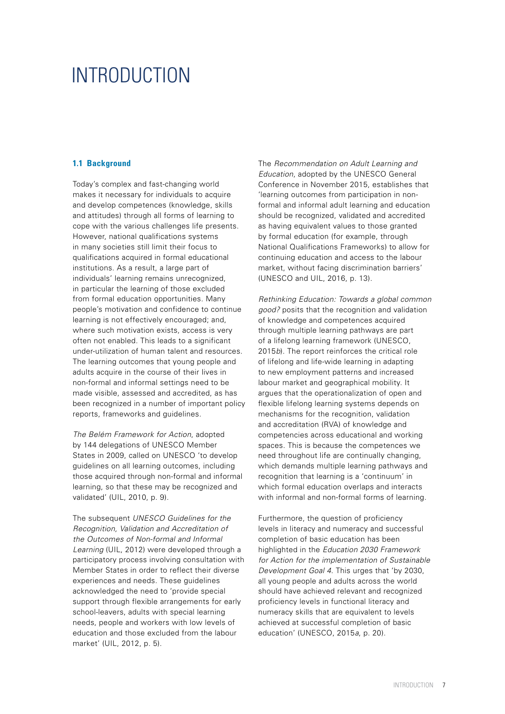### <span id="page-6-0"></span>INTRODUCTION

### **1.1 Background**

Today's complex and fast-changing world makes it necessary for individuals to acquire and develop competences (knowledge, skills and attitudes) through all forms of learning to cope with the various challenges life presents. However, national qualifications systems in many societies still limit their focus to qualifications acquired in formal educational institutions. As a result, a large part of individuals' learning remains unrecognized, in particular the learning of those excluded from formal education opportunities. Many people's motivation and confidence to continue learning is not effectively encouraged; and, where such motivation exists, access is very often not enabled. This leads to a significant under-utilization of human talent and resources. The learning outcomes that young people and adults acquire in the course of their lives in non-formal and informal settings need to be made visible, assessed and accredited, as has been recognized in a number of important policy reports, frameworks and guidelines.

*The Belém Framework for Action*, adopted by 144 delegations of UNESCO Member States in 2009, called on UNESCO 'to develop guidelines on all learning outcomes, including those acquired through non-formal and informal learning, so that these may be recognized and validated' (UIL, 2010, p. 9).

The subsequent *UNESCO Guidelines for the Recognition, Validation and Accreditation of the Outcomes of Non-formal and Informal Learning* (UIL, 2012) were developed through a participatory process involving consultation with Member States in order to reflect their diverse experiences and needs. These guidelines acknowledged the need to 'provide special support through flexible arrangements for early school-leavers, adults with special learning needs, people and workers with low levels of education and those excluded from the labour market' (UIL, 2012, p. 5).

The *Recommendation on Adult Learning and Education*, adopted by the UNESCO General Conference in November 2015, establishes that 'learning outcomes from participation in nonformal and informal adult learning and education should be recognized, validated and accredited as having equivalent values to those granted by formal education (for example, through National Qualifications Frameworks) to allow for continuing education and access to the labour market, without facing discrimination barriers' (UNESCO and UIL, 2016, p. 13).

*Rethinking Education: Towards a global common good?* posits that the recognition and validation of knowledge and competences acquired through multiple learning pathways are part of a lifelong learning framework (UNESCO, 2015*b*). The report reinforces the critical role of lifelong and life-wide learning in adapting to new employment patterns and increased labour market and geographical mobility. It argues that the operationalization of open and flexible lifelong learning systems depends on mechanisms for the recognition, validation and accreditation (RVA) of knowledge and competencies across educational and working spaces. This is because the competences we need throughout life are continually changing, which demands multiple learning pathways and recognition that learning is a 'continuum' in which formal education overlaps and interacts with informal and non-formal forms of learning.

Furthermore, the question of proficiency levels in literacy and numeracy and successful completion of basic education has been highlighted in the *Education 2030 Framework for Action for the implementation of Sustainable Development Goal 4*. This urges that 'by 2030, all young people and adults across the world should have achieved relevant and recognized proficiency levels in functional literacy and numeracy skills that are equivalent to levels achieved at successful completion of basic education' (UNESCO, 2015*a*, p. 20).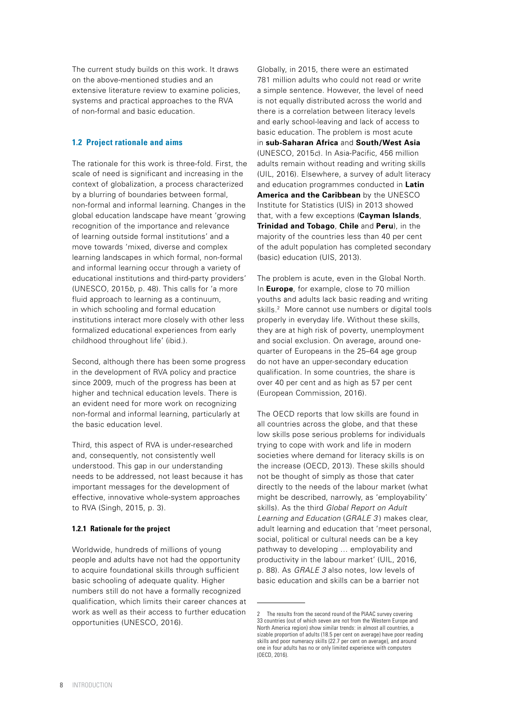<span id="page-7-0"></span>The current study builds on this work. It draws on the above-mentioned studies and an extensive literature review to examine policies systems and practical approaches to the RVA of non-formal and basic education.

### **1.2 Project rationale and aims**

The rationale for this work is three-fold. First, the scale of need is significant and increasing in the context of globalization, a process characterized by a blurring of boundaries between formal, non-formal and informal learning. Changes in the global education landscape have meant 'growing recognition of the importance and relevance of learning outside formal institutions' and a move towards 'mixed, diverse and complex learning landscapes in which formal, non-formal and informal learning occur through a variety of educational institutions and third-party providers' (UNESCO, 2015*b*, p. 48). This calls for 'a more fluid approach to learning as a continuum, in which schooling and formal education institutions interact more closely with other less formalized educational experiences from early childhood throughout life' (ibid.).

Second, although there has been some progress in the development of RVA policy and practice since 2009, much of the progress has been at higher and technical education levels. There is an evident need for more work on recognizing non-formal and informal learning, particularly at the basic education level.

Third, this aspect of RVA is under-researched and, consequently, not consistently well understood. This gap in our understanding needs to be addressed, not least because it has important messages for the development of effective, innovative whole-system approaches to RVA (Singh, 2015, p. 3).

### **1.2.1 Rationale for the project**

Worldwide, hundreds of millions of young people and adults have not had the opportunity to acquire foundational skills through sufficient basic schooling of adequate quality. Higher numbers still do not have a formally recognized qualification, which limits their career chances at work as well as their access to further education opportunities (UNESCO, 2016).

Globally, in 2015, there were an estimated 781 million adults who could not read or write a simple sentence. However, the level of need is not equally distributed across the world and there is a correlation between literacy levels and early school-leaving and lack of access to basic education. The problem is most acute in **sub-Saharan Africa** and **South/West Asia** (UNESCO, 2015*c*). In Asia-Pacific, 456 million adults remain without reading and writing skills (UIL, 2016). Elsewhere, a survey of adult literacy and education programmes conducted in **Latin America and the Caribbean** by the UNESCO Institute for Statistics (UIS) in 2013 showed that, with a few exceptions (**Cayman Islands**, **Trinidad and Tobago**, **Chile** and **Peru**), in the majority of the countries less than 40 per cent of the adult population has completed secondary (basic) education (UIS, 2013).

The problem is acute, even in the Global North. In **Europe**, for example, close to 70 million youths and adults lack basic reading and writing skills.<sup>2</sup> More cannot use numbers or digital tools properly in everyday life. Without these skills, they are at high risk of poverty, unemployment and social exclusion. On average, around onequarter of Europeans in the 25–64 age group do not have an upper-secondary education qualification. In some countries, the share is over 40 per cent and as high as 57 per cent (European Commission, 2016).

The OECD reports that low skills are found in all countries across the globe, and that these low skills pose serious problems for individuals trying to cope with work and life in modern societies where demand for literacy skills is on the increase (OECD, 2013). These skills should not be thought of simply as those that cater directly to the needs of the labour market (what might be described, narrowly, as 'employability' skills). As the third *Global Report on Adult Learning and Education* (*GRALE 3* ) makes clear, adult learning and education that 'meet personal, social, political or cultural needs can be a key pathway to developing … employability and productivity in the labour market' (UIL, 2016, p. 88). As *GRALE 3* also notes, low levels of basic education and skills can be a barrier not

<sup>2</sup> The results from the second round of the PIAAC survey covering 33 countries (out of which seven are not from the Western Europe and North America region) show similar trends: in almost all countries, a sizable proportion of adults (18.5 per cent on average) have poor reading skills and poor numeracy skills (22.7 per cent on average), and around one in four adults has no or only limited experience with computers (OECD, 2016).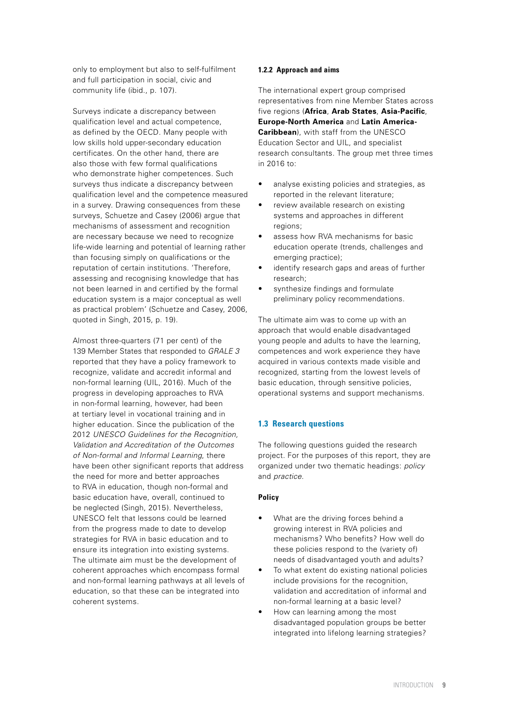<span id="page-8-0"></span>only to employment but also to self-fulfilment and full participation in social, civic and community life (ibid., p. 107).

Surveys indicate a discrepancy between qualification level and actual competence, as defined by the OECD. Many people with low skills hold upper-secondary education certificates. On the other hand, there are also those with few formal qualifications who demonstrate higher competences. Such surveys thus indicate a discrepancy between qualification level and the competence measured in a survey. Drawing consequences from these surveys, Schuetze and Casey (2006) argue that mechanisms of assessment and recognition are necessary because we need to recognize life-wide learning and potential of learning rather than focusing simply on qualifications or the reputation of certain institutions. 'Therefore, assessing and recognising knowledge that has not been learned in and certified by the formal education system is a major conceptual as well as practical problem' (Schuetze and Casey, 2006, quoted in Singh, 2015, p. 19).

Almost three-quarters (71 per cent) of the 139 Member States that responded to *GRALE 3* reported that they have a policy framework to recognize, validate and accredit informal and non-formal learning (UIL, 2016). Much of the progress in developing approaches to RVA in non-formal learning, however, had been at tertiary level in vocational training and in higher education. Since the publication of the 2012 *UNESCO Guidelines for the Recognition, Validation and Accreditation of the Outcomes of Non-formal and Informal Learning*, there have been other significant reports that address the need for more and better approaches to RVA in education, though non-formal and basic education have, overall, continued to be neglected (Singh, 2015). Nevertheless, UNESCO felt that lessons could be learned from the progress made to date to develop strategies for RVA in basic education and to ensure its integration into existing systems. The ultimate aim must be the development of coherent approaches which encompass formal and non-formal learning pathways at all levels of education, so that these can be integrated into coherent systems.

### **1.2.2 Approach and aims**

The international expert group comprised representatives from nine Member States across five regions (**Africa**, **Arab States**, **Asia-Pacific**, **Europe-North America** and **Latin America-Caribbean**), with staff from the UNESCO Education Sector and UIL, and specialist research consultants. The group met three times in 2016 to:

- analyse existing policies and strategies, as reported in the relevant literature;
- review available research on existing systems and approaches in different regions;
- assess how RVA mechanisms for basic education operate (trends, challenges and emerging practice);
- identify research gaps and areas of further research;
- synthesize findings and formulate preliminary policy recommendations.

The ultimate aim was to come up with an approach that would enable disadvantaged young people and adults to have the learning, competences and work experience they have acquired in various contexts made visible and recognized, starting from the lowest levels of basic education, through sensitive policies, operational systems and support mechanisms.

### **1.3 Research questions**

The following questions guided the research project. For the purposes of this report, they are organized under two thematic headings: *policy*  and *practice*.

### **Policy**

- What are the driving forces behind a growing interest in RVA policies and mechanisms? Who benefits? How well do these policies respond to the (variety of) needs of disadvantaged youth and adults?
- To what extent do existing national policies include provisions for the recognition, validation and accreditation of informal and non-formal learning at a basic level?
- How can learning among the most disadvantaged population groups be better integrated into lifelong learning strategies?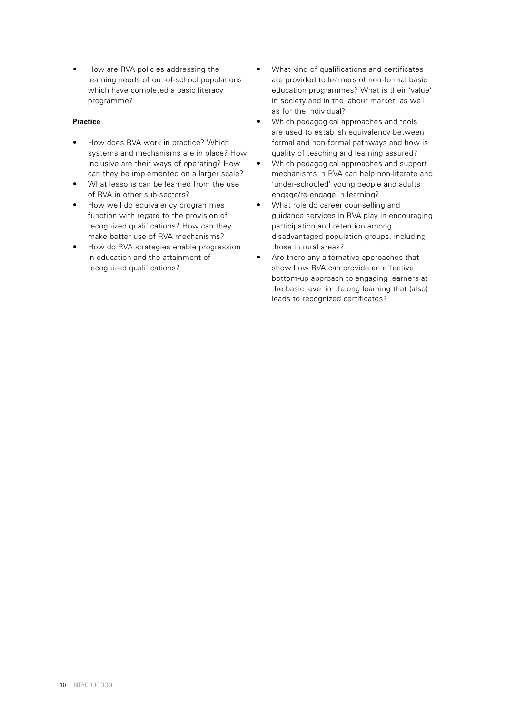• How are RVA policies addressing the learning needs of out-of-school populations which have completed a basic literacy programme?

### **Practice**

- How does RVA work in practice? Which systems and mechanisms are in place? How inclusive are their ways of operating? How can they be implemented on a larger scale?
- What lessons can be learned from the use of RVA in other sub-sectors?
- How well do equivalency programmes function with regard to the provision of recognized qualifications? How can they make better use of RVA mechanisms?
- How do RVA strategies enable progression in education and the attainment of recognized qualifications?
- What kind of qualifications and certificates are provided to learners of non-formal basic education programmes? What is their 'value' in society and in the labour market, as well as for the individual?
- Which pedagogical approaches and tools are used to establish equivalency between formal and non-formal pathways and how is quality of teaching and learning assured?
- Which pedagogical approaches and support mechanisms in RVA can help non-literate and 'under-schooled' young people and adults engage/re-engage in learning?
- What role do career counselling and guidance services in RVA play in encouraging participation and retention among disadvantaged population groups, including those in rural areas?
- Are there any alternative approaches that show how RVA can provide an effective bottom-up approach to engaging learners at the basic level in lifelong learning that (also) leads to recognized certificates?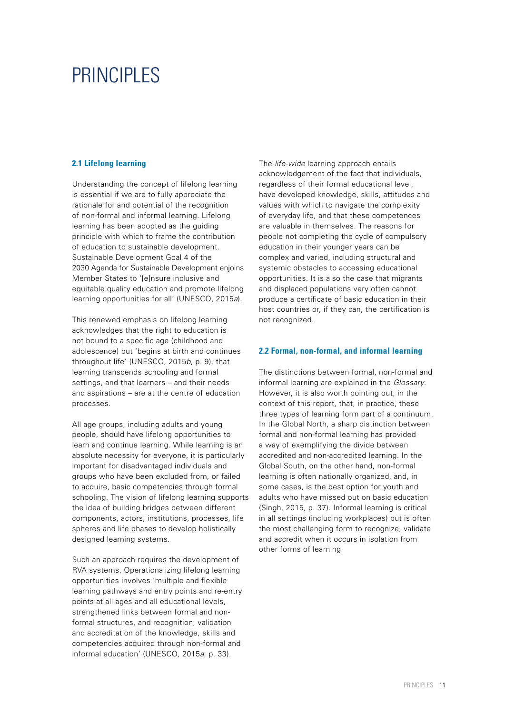## <span id="page-10-0"></span>PRINCIPI FS

### **2.1 Lifelong learning**

Understanding the concept of lifelong learning is essential if we are to fully appreciate the rationale for and potential of the recognition of non-formal and informal learning. Lifelong learning has been adopted as the guiding principle with which to frame the contribution of education to sustainable development. Sustainable Development Goal 4 of the 2030 Agenda for Sustainable Development enjoins Member States to '[e]nsure inclusive and equitable quality education and promote lifelong learning opportunities for all' (UNESCO, 2015*a*).

This renewed emphasis on lifelong learning acknowledges that the right to education is not bound to a specific age (childhood and adolescence) but 'begins at birth and continues throughout life' (UNESCO, 2015*b*, p. 9), that learning transcends schooling and formal settings, and that learners – and their needs and aspirations – are at the centre of education processes.

All age groups, including adults and young people, should have lifelong opportunities to learn and continue learning. While learning is an absolute necessity for everyone, it is particularly important for disadvantaged individuals and groups who have been excluded from, or failed to acquire, basic competencies through formal schooling. The vision of lifelong learning supports the idea of building bridges between different components, actors, institutions, processes, life spheres and life phases to develop holistically designed learning systems.

Such an approach requires the development of RVA systems. Operationalizing lifelong learning opportunities involves 'multiple and flexible learning pathways and entry points and re-entry points at all ages and all educational levels, strengthened links between formal and nonformal structures, and recognition, validation and accreditation of the knowledge, skills and competencies acquired through non-formal and informal education' (UNESCO, 2015*a*, p. 33).

The *life-wide* learning approach entails acknowledgement of the fact that individuals, regardless of their formal educational level, have developed knowledge, skills, attitudes and values with which to navigate the complexity of everyday life, and that these competences are valuable in themselves. The reasons for people not completing the cycle of compulsory education in their younger years can be complex and varied, including structural and systemic obstacles to accessing educational opportunities. It is also the case that migrants and displaced populations very often cannot produce a certificate of basic education in their host countries or, if they can, the certification is not recognized.

### **2.2 Formal, non-formal, and informal learning**

The distinctions between formal, non-formal and informal learning are explained in the *Glossary*. However, it is also worth pointing out, in the context of this report, that, in practice, these three types of learning form part of a continuum. In the Global North, a sharp distinction between formal and non-formal learning has provided a way of exemplifying the divide between accredited and non-accredited learning. In the Global South, on the other hand, non-formal learning is often nationally organized, and, in some cases, is the best option for youth and adults who have missed out on basic education (Singh, 2015, p. 37). Informal learning is critical in all settings (including workplaces) but is often the most challenging form to recognize, validate and accredit when it occurs in isolation from other forms of learning.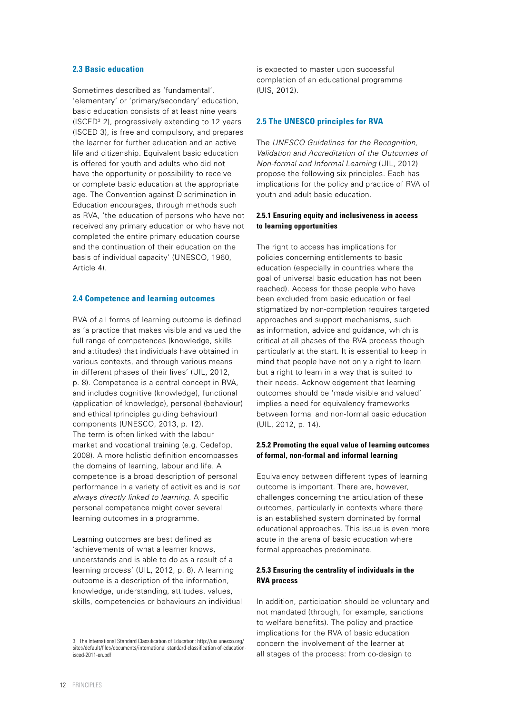### <span id="page-11-0"></span>**2.3 Basic education**

Sometimes described as 'fundamental', 'elementary' or 'primary/secondary' education, basic education consists of at least nine years  $(ISCED<sup>3</sup> 2)$ , progressively extending to 12 years (ISCED 3), is free and compulsory, and prepares the learner for further education and an active life and citizenship. Equivalent basic education is offered for youth and adults who did not have the opportunity or possibility to receive or complete basic education at the appropriate age. The Convention against Discrimination in Education encourages, through methods such as RVA, 'the education of persons who have not received any primary education or who have not completed the entire primary education course and the continuation of their education on the basis of individual capacity' (UNESCO, 1960, Article 4).

#### **2.4 Competence and learning outcomes**

RVA of all forms of learning outcome is defined as 'a practice that makes visible and valued the full range of competences (knowledge, skills and attitudes) that individuals have obtained in various contexts, and through various means in different phases of their lives' (UIL, 2012, p. 8). Competence is a central concept in RVA, and includes cognitive (knowledge), functional (application of knowledge), personal (behaviour) and ethical (principles guiding behaviour) components (UNESCO, 2013, p. 12). The term is often linked with the labour market and vocational training (e.g. Cedefop, 2008). A more holistic definition encompasses the domains of learning, labour and life. A competence is a broad description of personal performance in a variety of activities and is *not always directly linked to learning*. A specific personal competence might cover several learning outcomes in a programme.

Learning outcomes are best defined as 'achievements of what a learner knows, understands and is able to do as a result of a learning process' (UIL, 2012, p. 8). A learning outcome is a description of the information, knowledge, understanding, attitudes, values, skills, competencies or behaviours an individual is expected to master upon successful completion of an educational programme (UIS, 2012).

### **2.5 The UNESCO principles for RVA**

The *UNESCO Guidelines for the Recognition, Validation and Accreditation of the Outcomes of Non-formal and Informal Learning* (UIL, 2012) propose the following six principles. Each has implications for the policy and practice of RVA of youth and adult basic education.

### **2.5.1 Ensuring equity and inclusiveness in access to learning opportunities**

The right to access has implications for policies concerning entitlements to basic education (especially in countries where the goal of universal basic education has not been reached). Access for those people who have been excluded from basic education or feel stigmatized by non-completion requires targeted approaches and support mechanisms, such as information, advice and guidance, which is critical at all phases of the RVA process though particularly at the start. It is essential to keep in mind that people have not only a right to learn but a right to learn in a way that is suited to their needs. Acknowledgement that learning outcomes should be 'made visible and valued' implies a need for equivalency frameworks between formal and non-formal basic education (UIL, 2012, p. 14).

### **2.5.2 Promoting the equal value of learning outcomes of formal, non-formal and informal learning**

Equivalency between different types of learning outcome is important. There are, however, challenges concerning the articulation of these outcomes, particularly in contexts where there is an established system dominated by formal educational approaches. This issue is even more acute in the arena of basic education where formal approaches predominate.

### **2.5.3 Ensuring the centrality of individuals in the RVA process**

In addition, participation should be voluntary and not mandated (through, for example, sanctions to welfare benefits). The policy and practice implications for the RVA of basic education concern the involvement of the learner at all stages of the process: from co-design to

<sup>3</sup> The International Standard Classification of Education: <http://uis.unesco.org/> sites/default/files/documents/international-standard-classification-of-educationisced-2011-en.pdf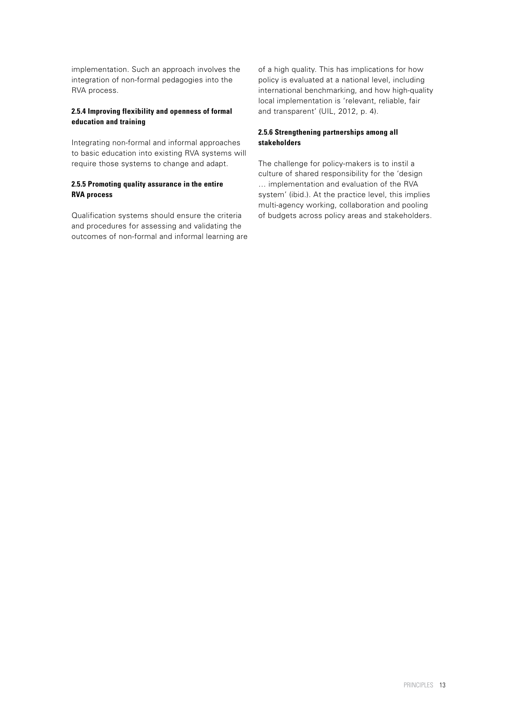implementation. Such an approach involves the integration of non-formal pedagogies into the RVA process.

### **2.5.4 Improving flexibility and openness of formal education and training**

Integrating non-formal and informal approaches to basic education into existing RVA systems will require those systems to change and adapt.

### **2.5.5 Promoting quality assurance in the entire RVA process**

Qualification systems should ensure the criteria and procedures for assessing and validating the outcomes of non-formal and informal learning are of a high quality. This has implications for how policy is evaluated at a national level, including international benchmarking, and how high-quality local implementation is 'relevant, reliable, fair and transparent' (UIL, 2012, p. 4).

### **2.5.6 Strengthening partnerships among all stakeholders**

The challenge for policy-makers is to instil a culture of shared responsibility for the 'design … implementation and evaluation of the RVA system' (ibid.). At the practice level, this implies multi-agency working, collaboration and pooling of budgets across policy areas and stakeholders.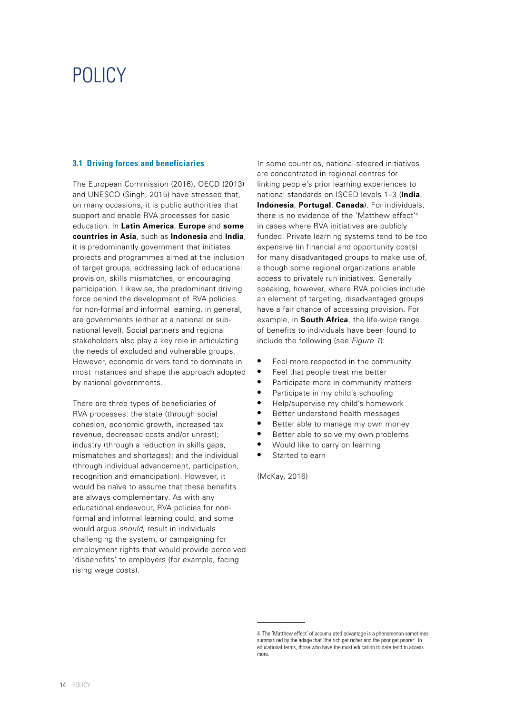### <span id="page-13-0"></span>POLICY

### **3.1 Driving forces and beneficiaries**

The European Commission (2016), OECD (2013) and UNESCO (Singh, 2015) have stressed that, on many occasions, it is public authorities that support and enable RVA processes for basic education. In **Latin America**, **Europe** and **some countries in Asia**, such as **Indonesia** and **India**, it is predominantly government that initiates projects and programmes aimed at the inclusion of target groups, addressing lack of educational provision, skills mismatches, or encouraging participation. Likewise, the predominant driving force behind the development of RVA policies for non-formal and informal learning, in general, are governments (either at a national or subnational level). Social partners and regional stakeholders also play a key role in articulating the needs of excluded and vulnerable groups. However, economic drivers tend to dominate in most instances and shape the approach adopted by national governments.

There are three types of beneficiaries of RVA processes: the state (through social cohesion, economic growth, increased tax revenue, decreased costs and/or unrest); industry (through a reduction in skills gaps, mismatches and shortages); and the individual (through individual advancement, participation, recognition and emancipation). However, it would be naïve to assume that these benefits are always complementary. As with any educational endeavour, RVA policies for nonformal and informal learning could, and some would argue *should*, result in individuals challenging the system, or campaigning for employment rights that would provide perceived 'disbenefits' to employers (for example, facing rising wage costs).

In some countries, national-steered initiatives are concentrated in regional centres for linking people's prior learning experiences to national standards on ISCED levels 1–3 (**India**, **Indonesia**, **Portugal**, **Canada**). For individuals, there is no evidence of the 'Matthew effect'4 in cases where RVA initiatives are publicly funded. Private learning systems tend to be too expensive (in financial and opportunity costs) for many disadvantaged groups to make use of, although some regional organizations enable access to privately run initiatives. Generally speaking, however, where RVA policies include an element of targeting, disadvantaged groups have a fair chance of accessing provision. For example, in **South Africa**, the life-wide range of benefits to individuals have been found to include the following (see *Figure 1*):

- **•** Feel more respected in the community
- **•** Feel that people treat me better
- **•** Participate more in community matters
- **•** Participate in my child's schooling
- **•** Help/supervise my child's homework
- **•** Better understand health messages
- **•** Better able to manage my own money
- **•** Better able to solve my own problems
- **•** Would like to carry on learning
- **•** Started to earn

(McKay, 2016)

<sup>4</sup> The 'Matthew effect' of accumulated advantage is a phenomenon sometimes summarized by the adage that 'the rich get richer and the poor get poorer'. In educational terms, those who have the most education to date tend to access more.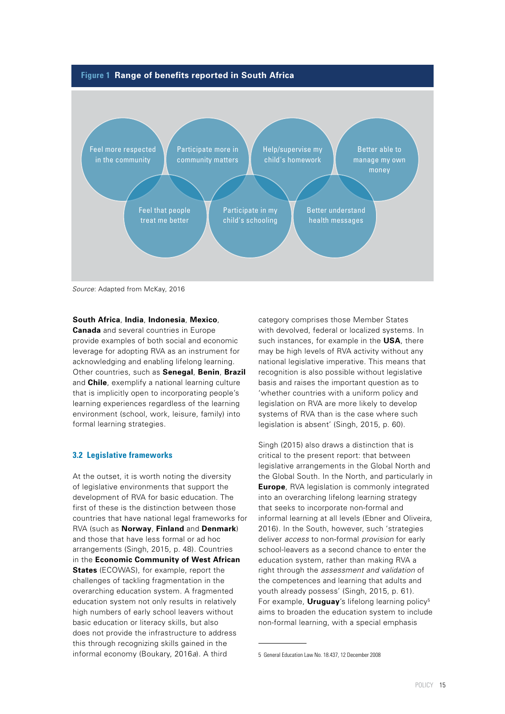<span id="page-14-0"></span>



*Source*: Adapted from McKay, 2016

### **South Africa**, **India**, **Indonesia**, **Mexico**,

**Canada** and several countries in Europe provide examples of both social and economic leverage for adopting RVA as an instrument for acknowledging and enabling lifelong learning. Other countries, such as **Senegal**, **Benin**, **Brazil**  and **Chile**, exemplify a national learning culture that is implicitly open to incorporating people's learning experiences regardless of the learning environment (school, work, leisure, family) into formal learning strategies.

#### **3.2 Legislative frameworks**

At the outset, it is worth noting the diversity of legislative environments that support the development of RVA for basic education. The first of these is the distinction between those countries that have national legal frameworks for RVA (such as **Norway**, **Finland** and **Denmark**) and those that have less formal or ad hoc arrangements (Singh, 2015, p. 48). Countries in the **Economic Community of West African States** (ECOWAS), for example, report the challenges of tackling fragmentation in the overarching education system. A fragmented education system not only results in relatively high numbers of early school leavers without basic education or literacy skills, but also does not provide the infrastructure to address this through recognizing skills gained in the informal economy (Boukary, 2016*a*). A third

category comprises those Member States with devolved, federal or localized systems. In such instances, for example in the **USA**, there may be high levels of RVA activity without any national legislative imperative. This means that recognition is also possible without legislative basis and raises the important question as to 'whether countries with a uniform policy and legislation on RVA are more likely to develop systems of RVA than is the case where such legislation is absent' (Singh, 2015, p. 60).

Singh (2015) also draws a distinction that is critical to the present report: that between legislative arrangements in the Global North and the Global South. In the North, and particularly in **Europe**, RVA legislation is commonly integrated into an overarching lifelong learning strategy that seeks to incorporate non-formal and informal learning at all levels (Ebner and Oliveira, 2016). In the South, however, such 'strategies deliver *access* to non-formal *provision* for early school-leavers as a second chance to enter the education system, rather than making RVA a right through the *assessment and validation* of the competences and learning that adults and youth already possess' (Singh, 2015, p. 61). For example, **Uruguay**'s lifelong learning policy<sup>5</sup> aims to broaden the education system to include non-formal learning, with a special emphasis

<sup>5</sup> General Education Law No. 18.437, 12 December 2008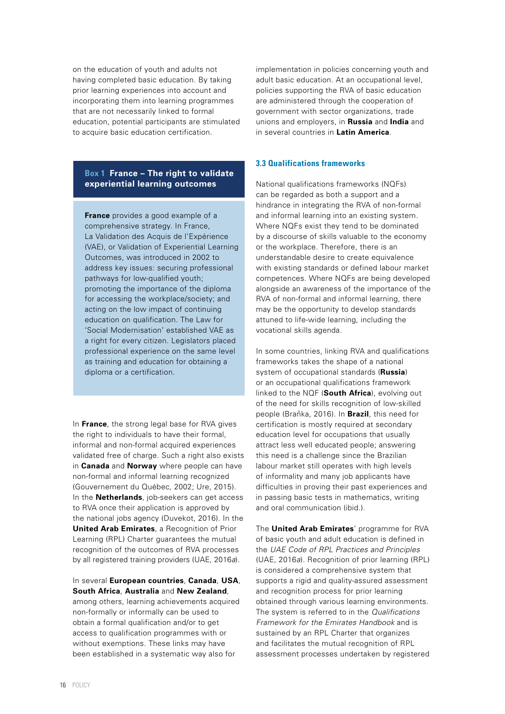<span id="page-15-0"></span>on the education of youth and adults not having completed basic education. By taking prior learning experiences into account and incorporating them into learning programmes that are not necessarily linked to formal education, potential participants are stimulated to acquire basic education certification.

### **Box 1 France – The right to validate experiential learning outcomes**

**France** provides a good example of a comprehensive strategy. In France, La Validation des Acquis de l'Expérience (VAE), or Validation of Experiential Learning Outcomes, was introduced in 2002 to address key issues: securing professional pathways for low-qualified youth; promoting the importance of the diploma for accessing the workplace/society; and acting on the low impact of continuing education on qualification. The Law for 'Social Modernisation' established VAE as a right for every citizen. Legislators placed professional experience on the same level as training and education for obtaining a diploma or a certification.

In **France**, the strong legal base for RVA gives the right to individuals to have their formal, informal and non-formal acquired experiences validated free of charge. Such a right also exists in **Canada** and **Norway** where people can have non-formal and informal learning recognized (Gouvernement du Québec, 2002; Ure, 2015). In the **Netherlands**, job-seekers can get access to RVA once their application is approved by the national jobs agency (Duvekot, 2016). In the **United Arab Emirates**, a Recognition of Prior Learning (RPL) Charter guarantees the mutual recognition of the outcomes of RVA processes by all registered training providers (UAE, 2016*a*).

### In several **European countries**, **Canada**, **USA**, **South Africa**, **Australia** and **New Zealand**,

among others, learning achievements acquired non-formally or informally can be used to obtain a formal qualification and/or to get access to qualification programmes with or without exemptions. These links may have been established in a systematic way also for

implementation in policies concerning youth and adult basic education. At an occupational level, policies supporting the RVA of basic education are administered through the cooperation of government with sector organizations, trade unions and employers, in **Russia** and **India** and in several countries in **Latin America**.

### **3.3 Qualifications frameworks**

National qualifications frameworks (NQFs) can be regarded as both a support and a hindrance in integrating the RVA of non-formal and informal learning into an existing system. Where NQFs exist they tend to be dominated by a discourse of skills valuable to the economy or the workplace. Therefore, there is an understandable desire to create equivalence with existing standards or defined labour market competences. Where NQFs are being developed alongside an awareness of the importance of the RVA of non-formal and informal learning, there may be the opportunity to develop standards attuned to life-wide learning, including the vocational skills agenda.

In some countries, linking RVA and qualifications frameworks takes the shape of a national system of occupational standards (**Russia**) or an occupational qualifications framework linked to the NQF (**South Africa**), evolving out of the need for skills recognition of low-skilled people (Braňka, 2016). In **Brazil**, this need for certification is mostly required at secondary education level for occupations that usually attract less well educated people; answering this need is a challenge since the Brazilian labour market still operates with high levels of informality and many job applicants have difficulties in proving their past experiences and in passing basic tests in mathematics, writing and oral communication (ibid.).

The **United Arab Emirates**' programme for RVA of basic youth and adult education is defined in the *UAE Code of RPL Practices and Principles*  (UAE, 2016*a*). Recognition of prior learning (RPL) is considered a comprehensive system that supports a rigid and quality-assured assessment and recognition process for prior learning obtained through various learning environments. The system is referred to in the *Qualifications Framework for the Emirates Handbook* and is sustained by an RPL Charter that organizes and facilitates the mutual recognition of RPL assessment processes undertaken by registered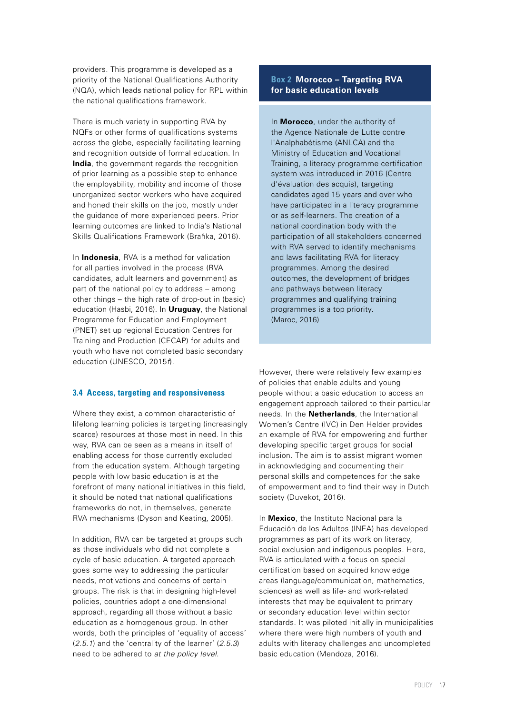<span id="page-16-0"></span>providers. This programme is developed as a priority of the National Qualifications Authority (NQA), which leads national policy for RPL within the national qualifications framework.

There is much variety in supporting RVA by NQFs or other forms of qualifications systems across the globe, especially facilitating learning and recognition outside of formal education. In **India**, the government regards the recognition of prior learning as a possible step to enhance the employability, mobility and income of those unorganized sector workers who have acquired and honed their skills on the job, mostly under the guidance of more experienced peers. Prior learning outcomes are linked to India's National Skills Qualifications Framework (Braňka, 2016).

In **Indonesia**, RVA is a method for validation for all parties involved in the process (RVA candidates, adult learners and government) as part of the national policy to address – among other things – the high rate of drop-out in (basic) education (Hasbi, 2016). In **Uruguay**, the National Programme for Education and Employment (PNET) set up regional Education Centres for Training and Production (CECAP) for adults and youth who have not completed basic secondary education (UNESCO, 2015*f*).

### **3.4 Access, targeting and responsiveness**

Where they exist, a common characteristic of lifelong learning policies is targeting (increasingly scarce) resources at those most in need. In this way, RVA can be seen as a means in itself of enabling access for those currently excluded from the education system. Although targeting people with low basic education is at the forefront of many national initiatives in this field, it should be noted that national qualifications frameworks do not, in themselves, generate RVA mechanisms (Dyson and Keating, 2005).

In addition, RVA can be targeted at groups such as those individuals who did not complete a cycle of basic education. A targeted approach goes some way to addressing the particular needs, motivations and concerns of certain groups. The risk is that in designing high-level policies, countries adopt a one-dimensional approach, regarding all those without a basic education as a homogenous group. In other words, both the principles of 'equality of access' (*2.5.1*) and the 'centrality of the learner' (*2.5.3*) need to be adhered to *at the policy level*.

### **Box 2 Morocco – Targeting RVA for basic education levels**

In **Morocco**, under the authority of the Agence Nationale de Lutte contre l'Analphabétisme (ANLCA) and the Ministry of Education and Vocational Training, a literacy programme certification system was introduced in 2016 (Centre d'évaluation des acquis), targeting candidates aged 15 years and over who have participated in a literacy programme or as self-learners. The creation of a national coordination body with the participation of all stakeholders concerned with RVA served to identify mechanisms and laws facilitating RVA for literacy programmes. Among the desired outcomes, the development of bridges and pathways between literacy programmes and qualifying training programmes is a top priority. (Maroc, 2016)

However, there were relatively few examples of policies that enable adults and young people without a basic education to access an engagement approach tailored to their particular needs. In the **Netherlands**, the International Women's Centre (IVC) in Den Helder provides an example of RVA for empowering and further developing specific target groups for social inclusion. The aim is to assist migrant women in acknowledging and documenting their personal skills and competences for the sake of empowerment and to find their way in Dutch society (Duvekot, 2016).

In **Mexico**, the Instituto Nacional para la Educación de los Adultos (INEA) has developed programmes as part of its work on literacy, social exclusion and indigenous peoples. Here, RVA is articulated with a focus on special certification based on acquired knowledge areas (language/communication, mathematics, sciences) as well as life- and work-related interests that may be equivalent to primary or secondary education level within sector standards. It was piloted initially in municipalities where there were high numbers of youth and adults with literacy challenges and uncompleted basic education (Mendoza, 2016).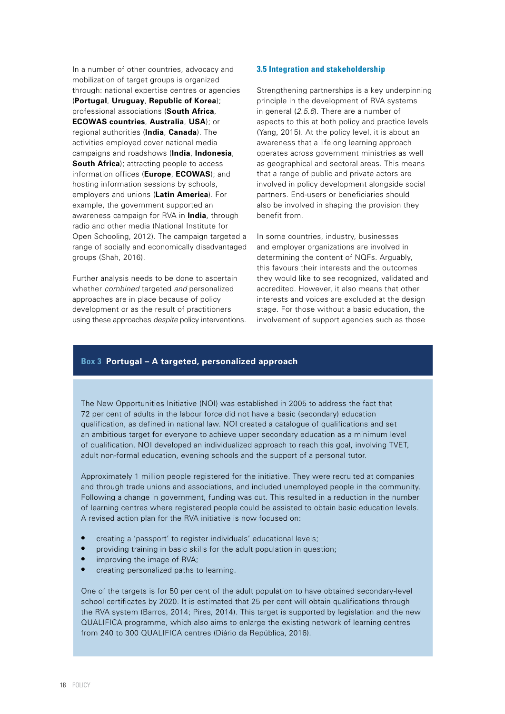<span id="page-17-0"></span>In a number of other countries, advocacy and mobilization of target groups is organized through: national expertise centres or agencies (**Portugal**, **Uruguay**, **Republic of Korea**); professional associations (**South Africa**, **ECOWAS countries**, **Australia**, **USA**); or regional authorities (**India**, **Canada**). The activities employed cover national media campaigns and roadshows (**India**, **Indonesia**, **South Africa**); attracting people to access information offices (**Europe**, **ECOWAS**); and hosting information sessions by schools, employers and unions (**Latin America**). For example, the government supported an awareness campaign for RVA in **India**, through radio and other media (National Institute for Open Schooling, 2012). The campaign targeted a range of socially and economically disadvantaged groups (Shah, 2016).

Further analysis needs to be done to ascertain whether *combined* targeted *and* personalized approaches are in place because of policy development or as the result of practitioners using these approaches *despite* policy interventions.

### **3.5 Integration and stakeholdership**

Strengthening partnerships is a key underpinning principle in the development of RVA systems in general (*2.5.6*). There are a number of aspects to this at both policy and practice levels (Yang, 2015). At the policy level, it is about an awareness that a lifelong learning approach operates across government ministries as well as geographical and sectoral areas. This means that a range of public and private actors are involved in policy development alongside social partners. End-users or beneficiaries should also be involved in shaping the provision they benefit from.

In some countries, industry, businesses and employer organizations are involved in determining the content of NQFs. Arguably, this favours their interests and the outcomes they would like to see recognized, validated and accredited. However, it also means that other interests and voices are excluded at the design stage. For those without a basic education, the involvement of support agencies such as those

### **Box 3 Portugal – A targeted, personalized approach**

The New Opportunities Initiative (NOI) was established in 2005 to address the fact that 72 per cent of adults in the labour force did not have a basic (secondary) education qualification, as defined in national law. NOI created a catalogue of qualifications and set an ambitious target for everyone to achieve upper secondary education as a minimum level of qualification. NOI developed an individualized approach to reach this goal, involving TVET, adult non-formal education, evening schools and the support of a personal tutor.

Approximately 1 million people registered for the initiative. They were recruited at companies and through trade unions and associations, and included unemployed people in the community. Following a change in government, funding was cut. This resulted in a reduction in the number of learning centres where registered people could be assisted to obtain basic education levels. A revised action plan for the RVA initiative is now focused on:

- **•** creating a 'passport' to register individuals' educational levels;
- **•** providing training in basic skills for the adult population in question;
- **•** improving the image of RVA;
- **•** creating personalized paths to learning.

One of the targets is for 50 per cent of the adult population to have obtained secondary-level school certificates by 2020. It is estimated that 25 per cent will obtain qualifications through the RVA system (Barros, 2014; Pires, 2014). This target is supported by legislation and the new QUALIFICA programme, which also aims to enlarge the existing network of learning centres from 240 to 300 QUALIFICA centres (Diário da República, 2016).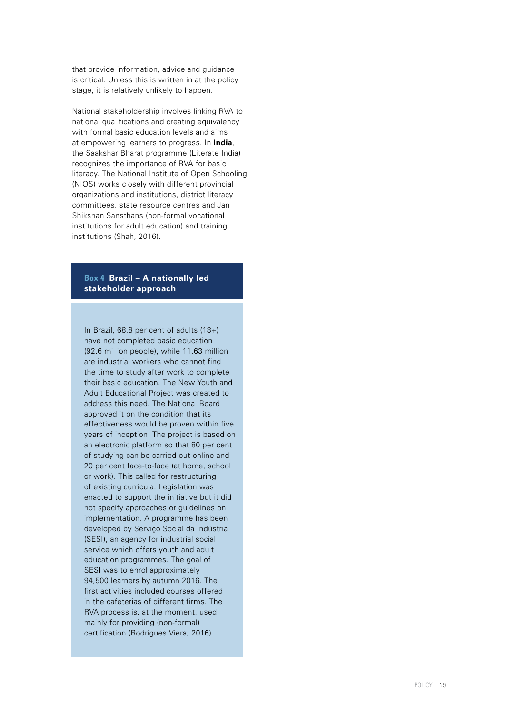that provide information, advice and guidance is critical. Unless this is written in at the policy stage, it is relatively unlikely to happen.

National stakeholdership involves linking RVA to national qualifications and creating equivalency with formal basic education levels and aims at empowering learners to progress. In **India**, the Saakshar Bharat programme (Literate India) recognizes the importance of RVA for basic literacy. The National Institute of Open Schooling (NIOS) works closely with different provincial organizations and institutions, district literacy committees, state resource centres and Jan Shikshan Sansthans (non-formal vocational institutions for adult education) and training institutions (Shah, 2016).

### **Box 4 Brazil – A nationally led stakeholder approach**

In Brazil, 68.8 per cent of adults (18+) have not completed basic education (92.6 million people), while 11.63 million are industrial workers who cannot find the time to study after work to complete their basic education. The New Youth and Adult Educational Project was created to address this need. The National Board approved it on the condition that its effectiveness would be proven within five years of inception. The project is based on an electronic platform so that 80 per cent of studying can be carried out online and 20 per cent face-to-face (at home, school or work). This called for restructuring of existing curricula. Legislation was enacted to support the initiative but it did not specify approaches or guidelines on implementation. A programme has been developed by Serviço Social da Indústria (SESI), an agency for industrial social service which offers youth and adult education programmes. The goal of SESI was to enrol approximately 94,500 learners by autumn 2016. The first activities included courses offered in the cafeterias of different firms. The RVA process is, at the moment, used mainly for providing (non-formal) certification (Rodrigues Viera, 2016).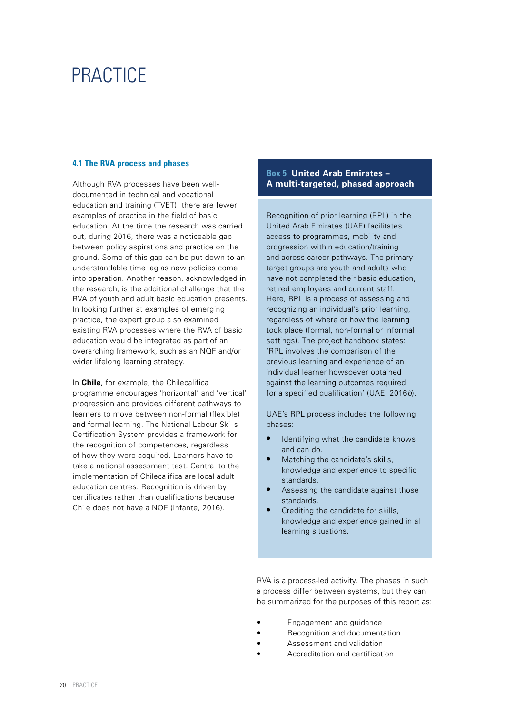### <span id="page-19-0"></span>**PRACTICE**

### **4.1 The RVA process and phases**

Although RVA processes have been welldocumented in technical and vocational education and training (TVET), there are fewer examples of practice in the field of basic education. At the time the research was carried out, during 2016, there was a noticeable gap between policy aspirations and practice on the ground. Some of this gap can be put down to an understandable time lag as new policies come into operation. Another reason, acknowledged in the research, is the additional challenge that the RVA of youth and adult basic education presents. In looking further at examples of emerging practice, the expert group also examined existing RVA processes where the RVA of basic education would be integrated as part of an overarching framework, such as an NQF and/or wider lifelong learning strategy.

In **Chile**, for example, the Chilecalifica programme encourages 'horizontal' and 'vertical' progression and provides different pathways to learners to move between non-formal (flexible) and formal learning. The National Labour Skills Certification System provides a framework for the recognition of competences, regardless of how they were acquired. Learners have to take a national assessment test. Central to the implementation of Chilecalifica are local adult education centres. Recognition is driven by certificates rather than qualifications because Chile does not have a NQF (Infante, 2016).

### **Box 5 United Arab Emirates – A multi-targeted, phased approach**

Recognition of prior learning (RPL) in the United Arab Emirates (UAE) facilitates access to programmes, mobility and progression within education/training and across career pathways. The primary target groups are youth and adults who have not completed their basic education, retired employees and current staff. Here, RPL is a process of assessing and recognizing an individual's prior learning, regardless of where or how the learning took place (formal, non-formal or informal settings). The project handbook states: 'RPL involves the comparison of the previous learning and experience of an individual learner howsoever obtained against the learning outcomes required for a specified qualification' (UAE, 2016*b*).

UAE's RPL process includes the following phases:

- **•** Identifying what the candidate knows and can do.
- **•** Matching the candidate's skills, knowledge and experience to specific standards.
- **•** Assessing the candidate against those standards.
- **•** Crediting the candidate for skills, knowledge and experience gained in all learning situations.

RVA is a process-led activity. The phases in such a process differ between systems, but they can be summarized for the purposes of this report as:

- Engagement and guidance
- Recognition and documentation
- Assessment and validation
- Accreditation and certification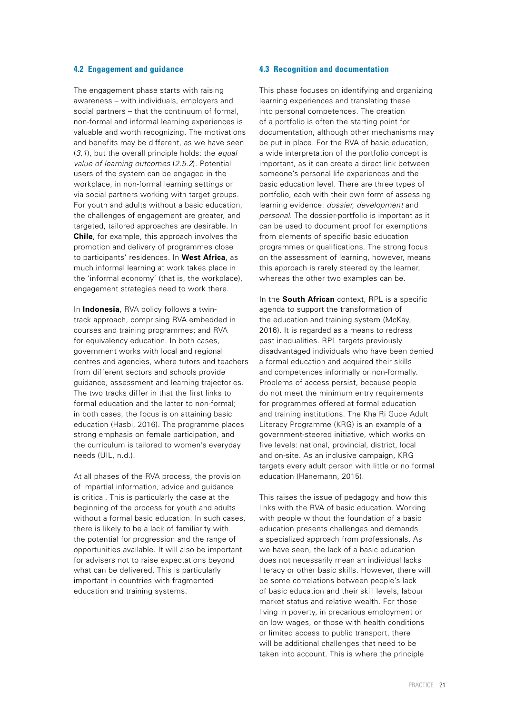### <span id="page-20-0"></span>**4.2 Engagement and guidance**

The engagement phase starts with raising awareness – with individuals, employers and social partners – that the continuum of formal, non-formal and informal learning experiences is valuable and worth recognizing. The motivations and benefits may be different, as we have seen (*3.1*), but the overall principle holds: the *equal value of learning outcomes* (*2.5.2*). Potential users of the system can be engaged in the workplace, in non-formal learning settings or via social partners working with target groups. For youth and adults without a basic education, the challenges of engagement are greater, and targeted, tailored approaches are desirable. In **Chile**, for example, this approach involves the promotion and delivery of programmes close to participants' residences. In **West Africa**, as much informal learning at work takes place in the 'informal economy' (that is, the workplace), engagement strategies need to work there.

In **Indonesia**, RVA policy follows a twintrack approach, comprising RVA embedded in courses and training programmes; and RVA for equivalency education. In both cases, government works with local and regional centres and agencies, where tutors and teachers from different sectors and schools provide guidance, assessment and learning trajectories. The two tracks differ in that the first links to formal education and the latter to non-formal; in both cases, the focus is on attaining basic education (Hasbi, 2016). The programme places strong emphasis on female participation, and the curriculum is tailored to women's everyday needs (UIL, n.d.).

At all phases of the RVA process, the provision of impartial information, advice and guidance is critical. This is particularly the case at the beginning of the process for youth and adults without a formal basic education. In such cases, there is likely to be a lack of familiarity with the potential for progression and the range of opportunities available. It will also be important for advisers not to raise expectations beyond what can be delivered. This is particularly important in countries with fragmented education and training systems.

### **4.3 Recognition and documentation**

This phase focuses on identifying and organizing learning experiences and translating these into personal competences. The creation of a portfolio is often the starting point for documentation, although other mechanisms may be put in place. For the RVA of basic education, a wide interpretation of the portfolio concept is important, as it can create a direct link between someone's personal life experiences and the basic education level. There are three types of portfolio, each with their own form of assessing learning evidence: *dossier, development* and *personal*. The dossier-portfolio is important as it can be used to document proof for exemptions from elements of specific basic education programmes or qualifications. The strong focus on the assessment of learning, however, means this approach is rarely steered by the learner, whereas the other two examples can be.

In the **South African** context, RPL is a specific agenda to support the transformation of the education and training system (McKay, 2016). It is regarded as a means to redress past inequalities. RPL targets previously disadvantaged individuals who have been denied a formal education and acquired their skills and competences informally or non-formally. Problems of access persist, because people do not meet the minimum entry requirements for programmes offered at formal education and training institutions. The Kha Ri Gude Adult Literacy Programme (KRG) is an example of a government-steered initiative, which works on five levels: national, provincial, district, local and on-site. As an inclusive campaign, KRG targets every adult person with little or no formal education (Hanemann, 2015).

This raises the issue of pedagogy and how this links with the RVA of basic education. Working with people without the foundation of a basic education presents challenges and demands a specialized approach from professionals. As we have seen, the lack of a basic education does not necessarily mean an individual lacks literacy or other basic skills. However, there will be some correlations between people's lack of basic education and their skill levels, labour market status and relative wealth. For those living in poverty, in precarious employment or on low wages, or those with health conditions or limited access to public transport, there will be additional challenges that need to be taken into account. This is where the principle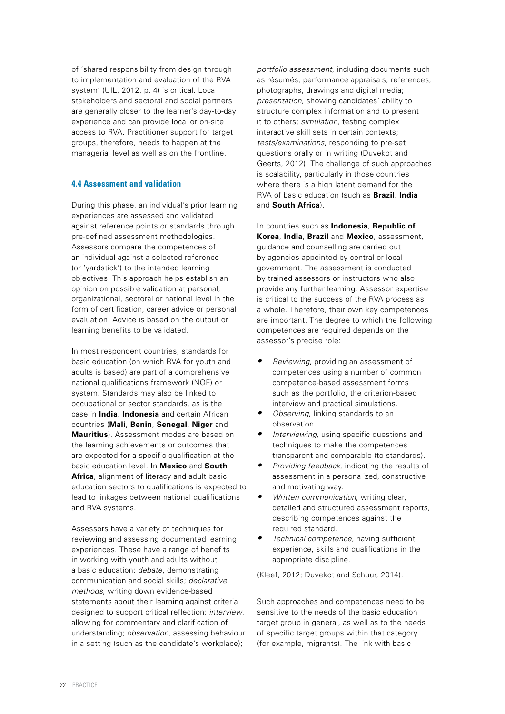<span id="page-21-0"></span>of 'shared responsibility from design through to implementation and evaluation of the RVA system' (UIL, 2012, p. 4) is critical. Local stakeholders and sectoral and social partners are generally closer to the learner's day-to-day experience and can provide local or on-site access to RVA. Practitioner support for target groups, therefore, needs to happen at the managerial level as well as on the frontline.

### **4.4 Assessment and validation**

During this phase, an individual's prior learning experiences are assessed and validated against reference points or standards through pre-defined assessment methodologies. Assessors compare the competences of an individual against a selected reference (or 'yardstick') to the intended learning objectives. This approach helps establish an opinion on possible validation at personal, organizational, sectoral or national level in the form of certification, career advice or personal evaluation. Advice is based on the output or learning benefits to be validated.

In most respondent countries, standards for basic education (on which RVA for youth and adults is based) are part of a comprehensive national qualifications framework (NQF) or system. Standards may also be linked to occupational or sector standards, as is the case in **India**, **Indonesia** and certain African countries (**Mali**, **Benin**, **Senegal**, **Niger** and **Mauritius**). Assessment modes are based on the learning achievements or outcomes that are expected for a specific qualification at the basic education level. In **Mexico** and **South Africa**, alignment of literacy and adult basic education sectors to qualifications is expected to lead to linkages between national qualifications and RVA systems.

Assessors have a variety of techniques for reviewing and assessing documented learning experiences. These have a range of benefits in working with youth and adults without a basic education: *debate*, demonstrating communication and social skills; *declarative methods*, writing down evidence-based statements about their learning against criteria designed to support critical reflection; *interview*, allowing for commentary and clarification of understanding; *observation*, assessing behaviour in a setting (such as the candidate's workplace);

*portfolio assessment*, including documents such as résumés, performance appraisals, references, photographs, drawings and digital media; *presentation*, showing candidates' ability to structure complex information and to present it to others; *simulation*, testing complex interactive skill sets in certain contexts; *tests/examinations*, responding to pre-set questions orally or in writing (Duvekot and Geerts, 2012). The challenge of such approaches is scalability, particularly in those countries where there is a high latent demand for the RVA of basic education (such as **Brazil**, **India** and **South Africa**).

In countries such as **Indonesia**, **Republic of Korea**, **India**, **Brazil** and **Mexico**, assessment, guidance and counselling are carried out by agencies appointed by central or local government. The assessment is conducted by trained assessors or instructors who also provide any further learning. Assessor expertise is critical to the success of the RVA process as a whole. Therefore, their own key competences are important. The degree to which the following competences are required depends on the assessor's precise role:

- *• Reviewing*, providing an assessment of competences using a number of common competence-based assessment forms such as the portfolio, the criterion-based interview and practical simulations.
- *• Observing*, linking standards to an observation.
- *• Interviewing*, using specific questions and techniques to make the competences transparent and comparable (to standards).
- *• Providing feedback*, indicating the results of assessment in a personalized, constructive and motivating way.
- *• Written communication*, writing clear, detailed and structured assessment reports, describing competences against the required standard.
- *• Technical competence*, having sufficient experience, skills and qualifications in the appropriate discipline.

(Kleef, 2012; Duvekot and Schuur, 2014).

Such approaches and competences need to be sensitive to the needs of the basic education target group in general, as well as to the needs of specific target groups within that category (for example, migrants). The link with basic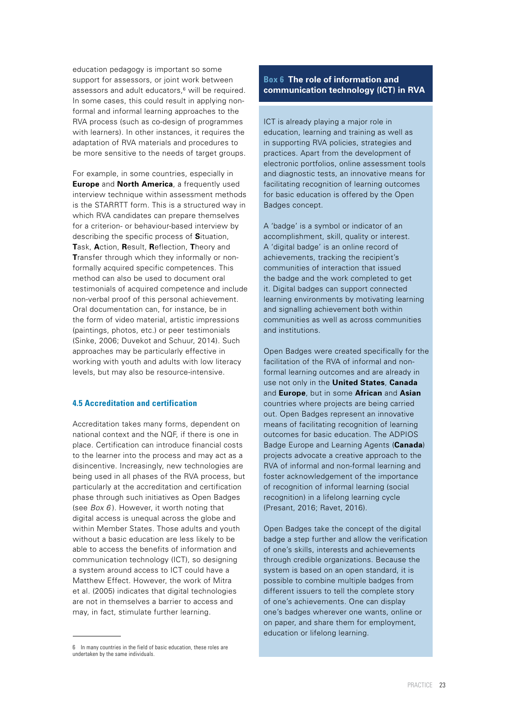<span id="page-22-0"></span>education pedagogy is important so some support for assessors, or joint work between assessors and adult educators.<sup>6</sup> will be required. In some cases, this could result in applying nonformal and informal learning approaches to the RVA process (such as co-design of programmes with learners). In other instances, it requires the adaptation of RVA materials and procedures to be more sensitive to the needs of target groups.

For example, in some countries, especially in **Europe** and **North America**, a frequently used interview technique within assessment methods is the STARRTT form. This is a structured way in which RVA candidates can prepare themselves for a criterion- or behaviour-based interview by describing the specific process of **S**ituation, **T**ask, **A**ction, **R**esult, **R**eflection, **T**heory and **Transfer through which they informally or non**formally acquired specific competences. This method can also be used to document oral testimonials of acquired competence and include non-verbal proof of this personal achievement. Oral documentation can, for instance, be in the form of video material, artistic impressions (paintings, photos, etc.) or peer testimonials (Sinke, 2006; Duvekot and Schuur, 2014). Such approaches may be particularly effective in working with youth and adults with low literacy levels, but may also be resource-intensive.

### **4.5 Accreditation and certification**

Accreditation takes many forms, dependent on national context and the NQF, if there is one in place. Certification can introduce financial costs to the learner into the process and may act as a disincentive. Increasingly, new technologies are being used in all phases of the RVA process, but particularly at the accreditation and certification phase through such initiatives as Open Badges (see *Box 6* ). However, it worth noting that digital access is unequal across the globe and within Member States. Those adults and youth without a basic education are less likely to be able to access the benefits of information and communication technology (ICT), so designing a system around access to ICT could have a Matthew Effect. However, the work of Mitra et al. (2005) indicates that digital technologies are not in themselves a barrier to access and may, in fact, stimulate further learning.

### **Box 6 The role of information and communication technology (ICT) in RVA**

ICT is already playing a major role in education, learning and training as well as in supporting RVA policies, strategies and practices. Apart from the development of electronic portfolios, online assessment tools and diagnostic tests, an innovative means for facilitating recognition of learning outcomes for basic education is offered by the Open Badges concept.

A 'badge' is a symbol or indicator of an accomplishment, skill, quality or interest. A 'digital badge' is an online record of achievements, tracking the recipient's communities of interaction that issued the badge and the work completed to get it. Digital badges can support connected learning environments by motivating learning and signalling achievement both within communities as well as across communities and institutions.

Open Badges were created specifically for the facilitation of the RVA of informal and nonformal learning outcomes and are already in use not only in the **United States**, **Canada**  and **Europe**, but in some **African** and **Asian** countries where projects are being carried out. Open Badges represent an innovative means of facilitating recognition of learning outcomes for basic education. The ADPIOS Badge Europe and Learning Agents (**Canada**) projects advocate a creative approach to the RVA of informal and non-formal learning and foster acknowledgement of the importance of recognition of informal learning (social recognition) in a lifelong learning cycle (Presant, 2016; Ravet, 2016).

Open Badges take the concept of the digital badge a step further and allow the verification of one's skills, interests and achievements through credible organizations. Because the system is based on an open standard, it is possible to combine multiple badges from different issuers to tell the complete story of one's achievements. One can display one's badges wherever one wants, online or on paper, and share them for employment, education or lifelong learning.

<sup>6</sup> In many countries in the field of basic education, these roles are undertaken by the same individuals.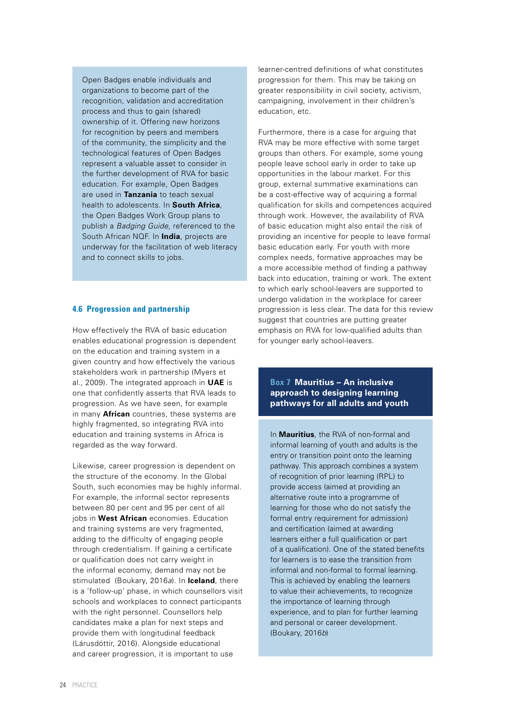<span id="page-23-0"></span>Open Badges enable individuals and organizations to become part of the recognition, validation and accreditation process and thus to gain (shared) ownership of it. Offering new horizons for recognition by peers and members of the community, the simplicity and the technological features of Open Badges represent a valuable asset to consider in the further development of RVA for basic education. For example, Open Badges are used in **Tanzania** to teach sexual health to adolescents. In **South Africa**, the Open Badges Work Group plans to publish a *Badging Guide*, referenced to the South African NQF. In **India**, projects are underway for the facilitation of web literacy and to connect skills to jobs.

### **4.6 Progression and partnership**

How effectively the RVA of basic education enables educational progression is dependent on the education and training system in a given country and how effectively the various stakeholders work in partnership (Myers et al., 2009). The integrated approach in **UAE** is one that confidently asserts that RVA leads to progression. As we have seen, for example in many **African** countries, these systems are highly fragmented, so integrating RVA into education and training systems in Africa is regarded as the way forward.

Likewise, career progression is dependent on the structure of the economy. In the Global South, such economies may be highly informal. For example, the informal sector represents between 80 per cent and 95 per cent of all jobs in **West African** economies. Education and training systems are very fragmented, adding to the difficulty of engaging people through credentialism. If gaining a certificate or qualification does not carry weight in the informal economy, demand may not be stimulated (Boukary, 2016*a*). In **Iceland**, there is a 'follow-up' phase, in which counsellors visit schools and workplaces to connect participants with the right personnel. Counsellors help candidates make a plan for next steps and provide them with longitudinal feedback (Lárusdóttir, 2016). Alongside educational and career progression, it is important to use

learner-centred definitions of what constitutes progression for them. This may be taking on greater responsibility in civil society, activism, campaigning, involvement in their children's education, etc.

Furthermore, there is a case for arguing that RVA may be more effective with some target groups than others. For example, some young people leave school early in order to take up opportunities in the labour market. For this group, external summative examinations can be a cost-effective way of acquiring a formal qualification for skills and competences acquired through work. However, the availability of RVA of basic education might also entail the risk of providing an incentive for people to leave formal basic education early. For youth with more complex needs, formative approaches may be a more accessible method of finding a pathway back into education, training or work. The extent to which early school-leavers are supported to undergo validation in the workplace for career progression is less clear. The data for this review suggest that countries are putting greater emphasis on RVA for low-qualified adults than for younger early school-leavers.

### **Box 7 Mauritius – An inclusive approach to designing learning pathways for all adults and youth**

In **Mauritius**, the RVA of non-formal and informal learning of youth and adults is the entry or transition point onto the learning pathway. This approach combines a system of recognition of prior learning (RPL) to provide access (aimed at providing an alternative route into a programme of learning for those who do not satisfy the formal entry requirement for admission) and certification (aimed at awarding learners either a full qualification or part of a qualification). One of the stated benefits for learners is to ease the transition from informal and non-formal to formal learning. This is achieved by enabling the learners to value their achievements, to recognize the importance of learning through experience, and to plan for further learning and personal or career development. (Boukary, 2016*b*)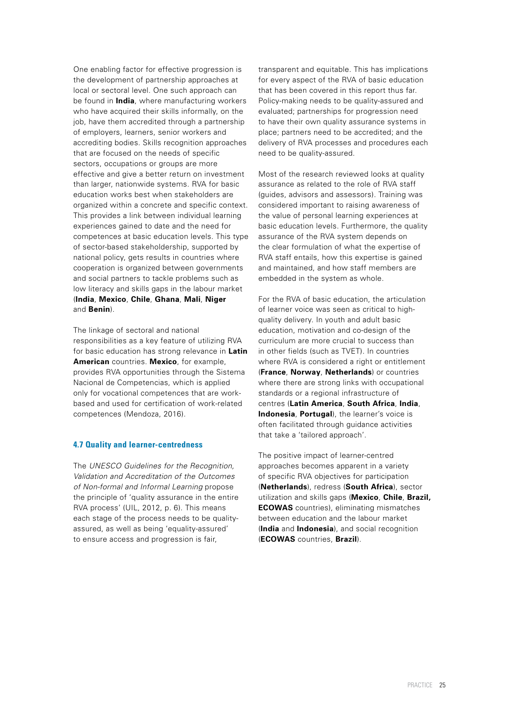<span id="page-24-0"></span>One enabling factor for effective progression is the development of partnership approaches at local or sectoral level. One such approach can be found in **India**, where manufacturing workers who have acquired their skills informally, on the job, have them accredited through a partnership of employers, learners, senior workers and accrediting bodies. Skills recognition approaches that are focused on the needs of specific sectors, occupations or groups are more effective and give a better return on investment than larger, nationwide systems. RVA for basic education works best when stakeholders are organized within a concrete and specific context. This provides a link between individual learning experiences gained to date and the need for competences at basic education levels. This type of sector-based stakeholdership, supported by national policy, gets results in countries where cooperation is organized between governments and social partners to tackle problems such as low literacy and skills gaps in the labour market (**India**, **Mexico**, **Chile**, **Ghana**, **Mali**, **Niger** and **Benin**).

The linkage of sectoral and national responsibilities as a key feature of utilizing RVA for basic education has strong relevance in **Latin American** countries. **Mexico**, for example, provides RVA opportunities through the Sistema Nacional de Competencias, which is applied only for vocational competences that are workbased and used for certification of work-related competences (Mendoza, 2016).

### **4.7 Quality and learner-centredness**

The *UNESCO Guidelines for the Recognition, Validation and Accreditation of the Outcomes of Non-formal and Informal Learning* propose the principle of 'quality assurance in the entire RVA process' (UIL, 2012, p. 6). This means each stage of the process needs to be qualityassured, as well as being 'equality-assured' to ensure access and progression is fair,

transparent and equitable. This has implications for every aspect of the RVA of basic education that has been covered in this report thus far. Policy-making needs to be quality-assured and evaluated; partnerships for progression need to have their own quality assurance systems in place; partners need to be accredited; and the delivery of RVA processes and procedures each need to be quality-assured.

Most of the research reviewed looks at quality assurance as related to the role of RVA staff (guides, advisors and assessors). Training was considered important to raising awareness of the value of personal learning experiences at basic education levels. Furthermore, the quality assurance of the RVA system depends on the clear formulation of what the expertise of RVA staff entails, how this expertise is gained and maintained, and how staff members are embedded in the system as whole.

For the RVA of basic education, the articulation of learner voice was seen as critical to highquality delivery. In youth and adult basic education, motivation and co-design of the curriculum are more crucial to success than in other fields (such as TVET). In countries where RVA is considered a right or entitlement (**France**, **Norway**, **Netherlands**) or countries where there are strong links with occupational standards or a regional infrastructure of centres (**Latin America**, **South Africa**, **India**, **Indonesia**, **Portugal**), the learner's voice is often facilitated through guidance activities that take a 'tailored approach'.

The positive impact of learner-centred approaches becomes apparent in a variety of specific RVA objectives for participation (**Netherlands**), redress (**South Africa**), sector utilization and skills gaps (**Mexico**, **Chile**, **Brazil, ECOWAS** countries), eliminating mismatches between education and the labour market (**India** and **Indonesia**), and social recognition (**ECOWAS** countries, **Brazil**).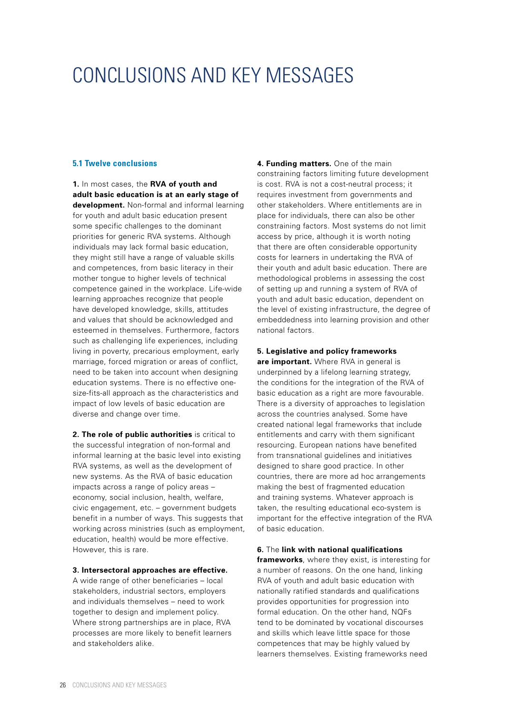### <span id="page-25-0"></span>CONCLUSIONS AND KEY MESSAGES I

### **5.1 Twelve conclusions**

**1.** In most cases, the **RVA of youth and adult basic education is at an early stage of development.** Non-formal and informal learning for youth and adult basic education present some specific challenges to the dominant priorities for generic RVA systems. Although individuals may lack formal basic education, they might still have a range of valuable skills and competences, from basic literacy in their mother tongue to higher levels of technical competence gained in the workplace. Life-wide learning approaches recognize that people have developed knowledge, skills, attitudes and values that should be acknowledged and esteemed in themselves. Furthermore, factors such as challenging life experiences, including living in poverty, precarious employment, early marriage, forced migration or areas of conflict, need to be taken into account when designing education systems. There is no effective onesize-fits-all approach as the characteristics and impact of low levels of basic education are diverse and change over time.

**2. The role of public authorities** is critical to the successful integration of non-formal and informal learning at the basic level into existing RVA systems, as well as the development of new systems. As the RVA of basic education impacts across a range of policy areas – economy, social inclusion, health, welfare, civic engagement, etc. – government budgets benefit in a number of ways. This suggests that working across ministries (such as employment, education, health) would be more effective. However, this is rare.

#### **3. Intersectoral approaches are effective.**

A wide range of other beneficiaries – local stakeholders, industrial sectors, employers and individuals themselves – need to work together to design and implement policy. Where strong partnerships are in place, RVA processes are more likely to benefit learners and stakeholders alike.

**4. Funding matters.** One of the main constraining factors limiting future development is cost. RVA is not a cost-neutral process; it requires investment from governments and other stakeholders. Where entitlements are in place for individuals, there can also be other constraining factors. Most systems do not limit access by price, although it is worth noting that there are often considerable opportunity costs for learners in undertaking the RVA of their youth and adult basic education. There are methodological problems in assessing the cost of setting up and running a system of RVA of youth and adult basic education, dependent on the level of existing infrastructure, the degree of embeddedness into learning provision and other national factors.

### **5. Legislative and policy frameworks**

**are important.** Where RVA in general is underpinned by a lifelong learning strategy, the conditions for the integration of the RVA of basic education as a right are more favourable. There is a diversity of approaches to legislation across the countries analysed. Some have created national legal frameworks that include entitlements and carry with them significant resourcing. European nations have benefited from transnational guidelines and initiatives designed to share good practice. In other countries, there are more ad hoc arrangements making the best of fragmented education and training systems. Whatever approach is taken, the resulting educational eco-system is important for the effective integration of the RVA of basic education.

#### **6.** The **link with national qualifications**

**frameworks**, where they exist, is interesting for a number of reasons. On the one hand, linking RVA of youth and adult basic education with nationally ratified standards and qualifications provides opportunities for progression into formal education. On the other hand, NQFs tend to be dominated by vocational discourses and skills which leave little space for those competences that may be highly valued by learners themselves. Existing frameworks need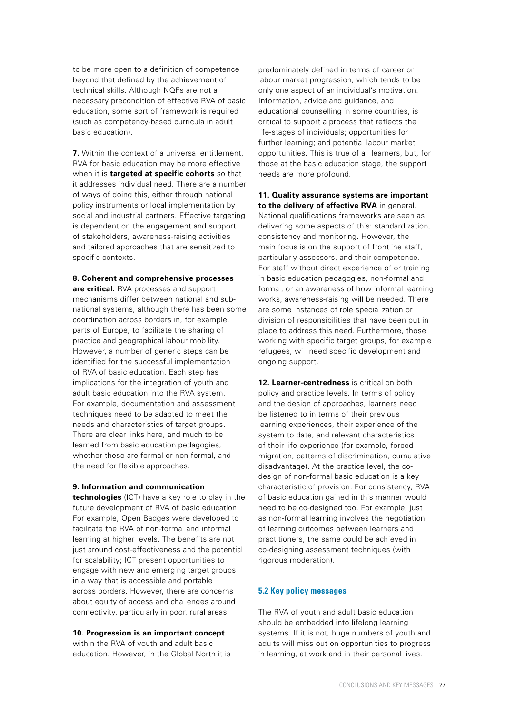<span id="page-26-0"></span>to be more open to a definition of competence beyond that defined by the achievement of technical skills. Although NQFs are not a necessary precondition of effective RVA of basic education, some sort of framework is required (such as competency-based curricula in adult basic education).

**7.** Within the context of a universal entitlement, RVA for basic education may be more effective when it is **targeted at specific cohorts** so that it addresses individual need. There are a number of ways of doing this, either through national policy instruments or local implementation by social and industrial partners. Effective targeting is dependent on the engagement and support of stakeholders, awareness-raising activities and tailored approaches that are sensitized to specific contexts.

#### **8. Coherent and comprehensive processes**

**are critical.** RVA processes and support mechanisms differ between national and subnational systems, although there has been some coordination across borders in, for example, parts of Europe, to facilitate the sharing of practice and geographical labour mobility. However, a number of generic steps can be identified for the successful implementation of RVA of basic education. Each step has implications for the integration of youth and adult basic education into the RVA system. For example, documentation and assessment techniques need to be adapted to meet the needs and characteristics of target groups. There are clear links here, and much to be learned from basic education pedagogies, whether these are formal or non-formal, and the need for flexible approaches.

#### **9. Information and communication**

**technologies** (ICT) have a key role to play in the future development of RVA of basic education. For example, Open Badges were developed to facilitate the RVA of non-formal and informal learning at higher levels. The benefits are not just around cost-effectiveness and the potential for scalability; ICT present opportunities to engage with new and emerging target groups in a way that is accessible and portable across borders. However, there are concerns about equity of access and challenges around connectivity, particularly in poor, rural areas.

#### **10. Progression is an important concept**

within the RVA of youth and adult basic education. However, in the Global North it is predominately defined in terms of career or labour market progression, which tends to be only one aspect of an individual's motivation. Information, advice and guidance, and educational counselling in some countries, is critical to support a process that reflects the life-stages of individuals; opportunities for further learning; and potential labour market opportunities. This is true of all learners, but, for those at the basic education stage, the support needs are more profound.

### **11. Quality assurance systems are important to the delivery of effective RVA** in general.

National qualifications frameworks are seen as delivering some aspects of this: standardization, consistency and monitoring. However, the main focus is on the support of frontline staff, particularly assessors, and their competence. For staff without direct experience of or training in basic education pedagogies, non-formal and formal, or an awareness of how informal learning works, awareness-raising will be needed. There are some instances of role specialization or division of responsibilities that have been put in place to address this need. Furthermore, those working with specific target groups, for example refugees, will need specific development and ongoing support.

**12. Learner-centredness** is critical on both policy and practice levels. In terms of policy and the design of approaches, learners need be listened to in terms of their previous learning experiences, their experience of the system to date, and relevant characteristics of their life experience (for example, forced migration, patterns of discrimination, cumulative disadvantage). At the practice level, the codesign of non-formal basic education is a key characteristic of provision. For consistency, RVA of basic education gained in this manner would need to be co-designed too. For example, just as non-formal learning involves the negotiation of learning outcomes between learners and practitioners, the same could be achieved in co-designing assessment techniques (with rigorous moderation).

### **5.2 Key policy messages**

The RVA of youth and adult basic education should be embedded into lifelong learning systems. If it is not, huge numbers of youth and adults will miss out on opportunities to progress in learning, at work and in their personal lives.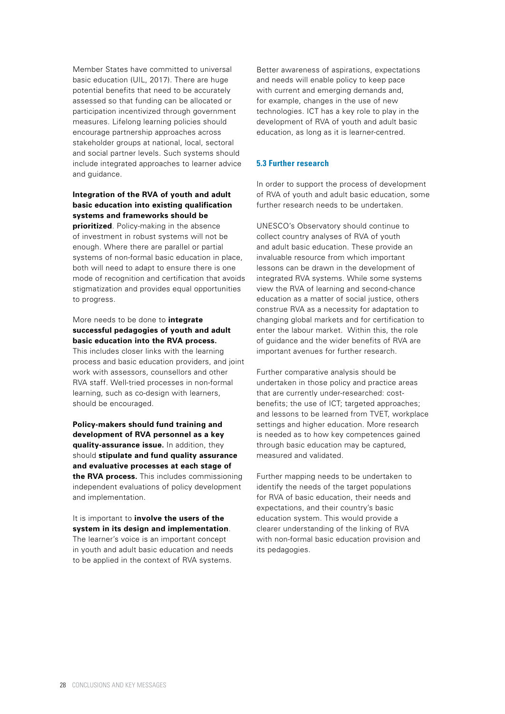<span id="page-27-0"></span>Member States have committed to universal basic education (UIL, 2017). There are huge potential benefits that need to be accurately assessed so that funding can be allocated or participation incentivized through government measures. Lifelong learning policies should encourage partnership approaches across stakeholder groups at national, local, sectoral and social partner levels. Such systems should include integrated approaches to learner advice and guidance.

### **Integration of the RVA of youth and adult basic education into existing qualification systems and frameworks should be**

**prioritized**. Policy-making in the absence of investment in robust systems will not be enough. Where there are parallel or partial systems of non-formal basic education in place, both will need to adapt to ensure there is one mode of recognition and certification that avoids stigmatization and provides equal opportunities to progress.

### More needs to be done to **integrate successful pedagogies of youth and adult basic education into the RVA process.**

This includes closer links with the learning process and basic education providers, and joint work with assessors, counsellors and other RVA staff. Well-tried processes in non-formal learning, such as co-design with learners, should be encouraged.

**Policy-makers should fund training and development of RVA personnel as a key quality-assurance issue.** In addition, they should **stipulate and fund quality assurance and evaluative processes at each stage of the RVA process.** This includes commissioning independent evaluations of policy development and implementation.

It is important to **involve the users of the system in its design and implementation**. The learner's voice is an important concept in youth and adult basic education and needs to be applied in the context of RVA systems.

Better awareness of aspirations, expectations and needs will enable policy to keep pace with current and emerging demands and, for example, changes in the use of new technologies. ICT has a key role to play in the development of RVA of youth and adult basic education, as long as it is learner-centred.

### **5.3 Further research**

In order to support the process of development of RVA of youth and adult basic education, some further research needs to be undertaken.

UNESCO's Observatory should continue to collect country analyses of RVA of youth and adult basic education. These provide an invaluable resource from which important lessons can be drawn in the development of integrated RVA systems. While some systems view the RVA of learning and second-chance education as a matter of social justice, others construe RVA as a necessity for adaptation to changing global markets and for certification to enter the labour market. Within this, the role of guidance and the wider benefits of RVA are important avenues for further research.

Further comparative analysis should be undertaken in those policy and practice areas that are currently under-researched: costbenefits; the use of ICT; targeted approaches; and lessons to be learned from TVET, workplace settings and higher education. More research is needed as to how key competences gained through basic education may be captured, measured and validated.

Further mapping needs to be undertaken to identify the needs of the target populations for RVA of basic education, their needs and expectations, and their country's basic education system. This would provide a clearer understanding of the linking of RVA with non-formal basic education provision and its pedagogies.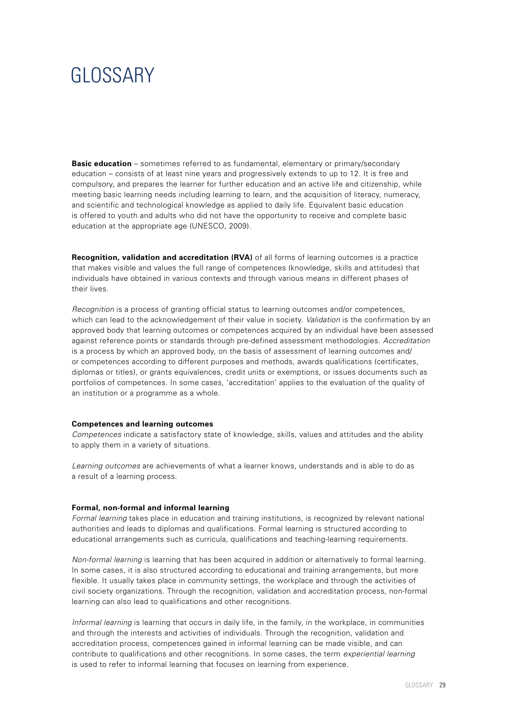### <span id="page-28-0"></span>**GLOSSARY** I

**Basic education** – sometimes referred to as fundamental, elementary or primary/secondary education – consists of at least nine years and progressively extends to up to 12. It is free and compulsory, and prepares the learner for further education and an active life and citizenship, while meeting basic learning needs including learning to learn, and the acquisition of literacy, numeracy, and scientific and technological knowledge as applied to daily life. Equivalent basic education is offered to youth and adults who did not have the opportunity to receive and complete basic education at the appropriate age (UNESCO, 2009).

**Recognition, validation and accreditation (RVA)** of all forms of learning outcomes is a practice that makes visible and values the full range of competences (knowledge, skills and attitudes) that individuals have obtained in various contexts and through various means in different phases of their lives.

*Recognition* is a process of granting official status to learning outcomes and/or competences, which can lead to the acknowledgement of their value in society. *Validation* is the confirmation by an approved body that learning outcomes or competences acquired by an individual have been assessed against reference points or standards through pre-defined assessment methodologies. *Accreditation*  is a process by which an approved body, on the basis of assessment of learning outcomes and/ or competences according to different purposes and methods, awards qualifications (certificates, diplomas or titles), or grants equivalences, credit units or exemptions, or issues documents such as portfolios of competences. In some cases, 'accreditation' applies to the evaluation of the quality of an institution or a programme as a whole.

#### **Competences and learning outcomes**

*Competences* indicate a satisfactory state of knowledge, skills, values and attitudes and the ability to apply them in a variety of situations.

*Learning outcomes* are achievements of what a learner knows, understands and is able to do as a result of a learning process.

#### **Formal, non-formal and informal learning**

*Formal learning* takes place in education and training institutions, is recognized by relevant national authorities and leads to diplomas and qualifications. Formal learning is structured according to educational arrangements such as curricula, qualifications and teaching-learning requirements.

*Non-formal learning* is learning that has been acquired in addition or alternatively to formal learning. In some cases, it is also structured according to educational and training arrangements, but more flexible. It usually takes place in community settings, the workplace and through the activities of civil society organizations. Through the recognition, validation and accreditation process, non-formal learning can also lead to qualifications and other recognitions.

*Informal learning* is learning that occurs in daily life, in the family, in the workplace, in communities and through the interests and activities of individuals. Through the recognition, validation and accreditation process, competences gained in informal learning can be made visible, and can contribute to qualifications and other recognitions. In some cases, the term *experiential learning*  is used to refer to informal learning that focuses on learning from experience.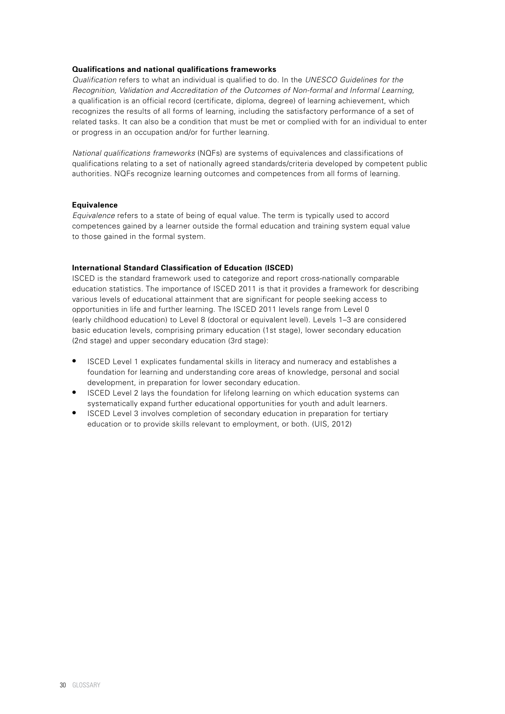### **Qualifications and national qualifications frameworks**

*Qualification* refers to what an individual is qualified to do. In the *UNESCO Guidelines for the Recognition, Validation and Accreditation of the Outcomes of Non-formal and Informal Learning,* a qualification is an official record (certificate, diploma, degree) of learning achievement, which recognizes the results of all forms of learning, including the satisfactory performance of a set of related tasks. It can also be a condition that must be met or complied with for an individual to enter or progress in an occupation and/or for further learning.

*National qualifications frameworks* (NQFs) are systems of equivalences and classifications of qualifications relating to a set of nationally agreed standards/criteria developed by competent public authorities. NQFs recognize learning outcomes and competences from all forms of learning.

### **Equivalence**

*Equivalence* refers to a state of being of equal value. The term is typically used to accord competences gained by a learner outside the formal education and training system equal value to those gained in the formal system.

### **International Standard Classification of Education (ISCED)**

ISCED is the standard framework used to categorize and report cross-nationally comparable education statistics. The importance of ISCED 2011 is that it provides a framework for describing various levels of educational attainment that are significant for people seeking access to opportunities in life and further learning. The ISCED 2011 levels range from Level 0 (early childhood education) to Level 8 (doctoral or equivalent level). Levels 1–3 are considered basic education levels, comprising primary education (1st stage), lower secondary education (2nd stage) and upper secondary education (3rd stage):

- **•** ISCED Level 1 explicates fundamental skills in literacy and numeracy and establishes a foundation for learning and understanding core areas of knowledge, personal and social development, in preparation for lower secondary education.
- **•** ISCED Level 2 lays the foundation for lifelong learning on which education systems can systematically expand further educational opportunities for youth and adult learners.
- **•** ISCED Level 3 involves completion of secondary education in preparation for tertiary education or to provide skills relevant to employment, or both. (UIS, 2012)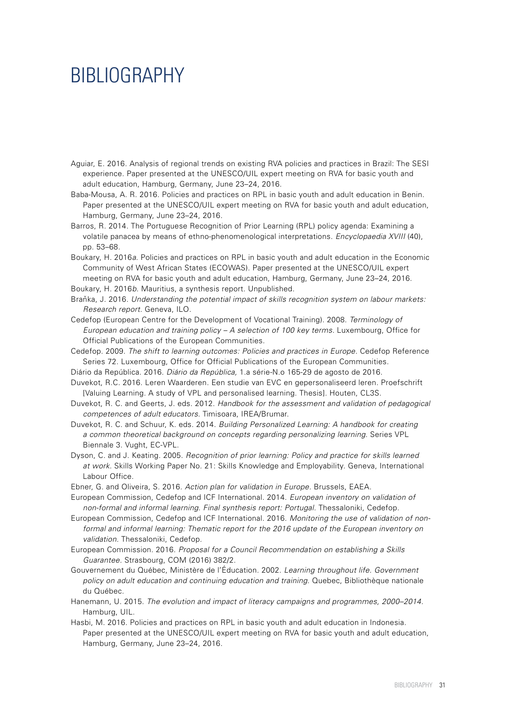### <span id="page-30-0"></span>BIBLIOGRAPHY

- Aguiar, E. 2016. Analysis of regional trends on existing RVA policies and practices in Brazil: The SESI experience. Paper presented at the UNESCO/UIL expert meeting on RVA for basic youth and adult education, Hamburg, Germany, June 23–24, 2016.
- Baba-Mousa, A. R. 2016. Policies and practices on RPL in basic youth and adult education in Benin. Paper presented at the UNESCO/UIL expert meeting on RVA for basic youth and adult education, Hamburg, Germany, June 23–24, 2016.
- Barros, R. 2014. The Portuguese Recognition of Prior Learning (RPL) policy agenda: Examining a volatile panacea by means of ethno-phenomenological interpretations. *Encyclopaedia XVIII* (40), pp. 53–68.
- Boukary, H. 2016*a*. Policies and practices on RPL in basic youth and adult education in the Economic Community of West African States (ECOWAS). Paper presented at the UNESCO/UIL expert meeting on RVA for basic youth and adult education, Hamburg, Germany, June 23–24, 2016. Boukary, H. 2016*b*. Mauritius, a synthesis report. Unpublished.
- Braňka, J. 2016. Understanding the potential impact of skills recognition system on labour markets: *Research report.* Geneva, ILO.
- Cedefop (European Centre for the Development of Vocational Training). 2008. *Terminology of European education and training policy – A selection of 100 key terms.* Luxembourg, Office for Official Publications of the European Communities.
- Cedefop. 2009. *The shift to learning outcomes: Policies and practices in Europe.* Cedefop Reference Series 72. Luxembourg, Office for Official Publications of the European Communities.
- Diário da República. 2016. *Diário da República,* 1.a série-N.o 165-29 de agosto de 2016.
- Duvekot, R.C. 2016. Leren Waarderen. Een studie van EVC en gepersonaliseerd leren. Proefschrift [Valuing Learning. A study of VPL and personalised learning. Thesis]. Houten, CL3S.
- Duvekot, R. C. and Geerts, J. eds. 2012. *Handbook for the assessment and validation of pedagogical competences of adult educators.* Timisoara, IREA/Brumar.
- Duvekot, R. C. and Schuur, K. eds. 2014. *Building Personalized Learning: A handbook for creating a common theoretical background on concepts regarding personalizing learning.* Series VPL Biennale 3. Vught, EC-VPL.
- Dyson, C. and J. Keating. 2005. *Recognition of prior learning: Policy and practice for skills learned at work.* Skills Working Paper No. 21: Skills Knowledge and Employability. Geneva, International Labour Office.
- Ebner, G. and Oliveira, S. 2016. *Action plan for validation in Europe.* Brussels, EAEA.
- European Commission, Cedefop and ICF International. 2014. *European inventory on validation of non-formal and informal learning. Final synthesis report: Portugal.* Thessaloniki, Cedefop.
- European Commission, Cedefop and ICF International. 2016. *Monitoring the use of validation of nonformal and informal learning: Thematic report for the 2016 update of the European inventory on validation.* Thessaloniki, Cedefop.
- European Commission. 2016. *Proposal for a Council Recommendation on establishing a Skills Guarantee.* Strasbourg, COM (2016) 382/2.
- Gouvernement du Québec, Ministère de l'Éducation. 2002. *Learning throughout life. Government policy on adult education and continuing education and training.* Quebec, Bibliothèque nationale du Québec.
- Hanemann, U. 2015. *The evolution and impact of literacy campaigns and programmes, 2000–2014.*  Hamburg, UIL.
- Hasbi, M. 2016. Policies and practices on RPL in basic youth and adult education in Indonesia. Paper presented at the UNESCO/UIL expert meeting on RVA for basic youth and adult education, Hamburg, Germany, June 23–24, 2016.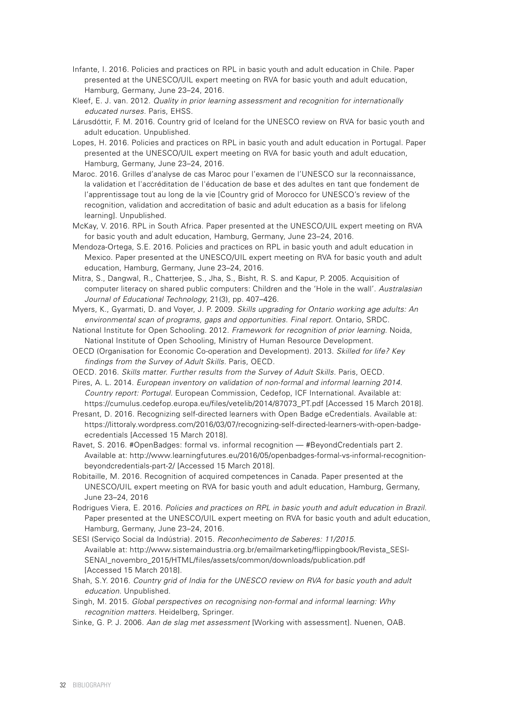- Infante, I. 2016. Policies and practices on RPL in basic youth and adult education in Chile. Paper presented at the UNESCO/UIL expert meeting on RVA for basic youth and adult education, Hamburg, Germany, June 23–24, 2016.
- Kleef, E. J. van. 2012. *Quality in prior learning assessment and recognition for internationally educated nurses.* Paris, EHSS.
- Lárusdóttir, F. M. 2016. Country grid of Iceland for the UNESCO review on RVA for basic youth and adult education. Unpublished.
- Lopes, H. 2016. Policies and practices on RPL in basic youth and adult education in Portugal. Paper presented at the UNESCO/UIL expert meeting on RVA for basic youth and adult education, Hamburg, Germany, June 23–24, 2016.
- Maroc. 2016. Grilles d'analyse de cas Maroc pour l'examen de l'UNESCO sur la reconnaissance, la validation et l'accréditation de l'éducation de base et des adultes en tant que fondement de l'apprentissage tout au long de la vie [Country grid of Morocco for UNESCO's review of the recognition, validation and accreditation of basic and adult education as a basis for lifelong learning]. Unpublished.
- McKay, V. 2016. RPL in South Africa. Paper presented at the UNESCO/UIL expert meeting on RVA for basic youth and adult education, Hamburg, Germany, June 23–24, 2016.
- Mendoza-Ortega, S.E. 2016. Policies and practices on RPL in basic youth and adult education in Mexico. Paper presented at the UNESCO/UIL expert meeting on RVA for basic youth and adult education, Hamburg, Germany, June 23–24, 2016.
- Mitra, S., Dangwal, R., Chatterjee, S., Jha, S., Bisht, R. S. and Kapur, P. 2005. Acquisition of computer literacy on shared public computers: Children and the 'Hole in the wall'. *Australasian Journal of Educational Technology,* 21(3), pp. 407–426.
- Myers, K., Gyarmati, D. and Voyer, J. P. 2009. *Skills upgrading for Ontario working age adults: An environmental scan of programs, gaps and opportunities. Final report.* Ontario, SRDC.
- National Institute for Open Schooling. 2012. *Framework for recognition of prior learning.* Noida, National Institute of Open Schooling, Ministry of Human Resource Development.
- OECD (Organisation for Economic Co-operation and Development). 2013. *Skilled for life? Key findings from the Survey of Adult Skills.* Paris, OECD.
- OECD. 2016. *Skills matter. Further results from the Survey of Adult Skills.* Paris, OECD.

Pires, A. L. 2014. *European inventory on validation of non-formal and informal learning 2014. Country report: Portugal.* European Commission, Cedefop, ICF International. Available at: [https://cumulus.cedefop.europa.eu/files/vetelib/2014/87073\\_PT.pdf \[A](https://cumulus.cedefop.europa.eu/files/vetelib/2014/87073_PT.pdf)ccessed 15 March 2018].

Presant, D. 2016. Recognizing self-directed learners with Open Badge eCredentials. Available at: [https://littoraly.wordpress.com/2016/03/07/recognizing-self-directed-learners-with-open-badge](https://littoraly.wordpress.com/2016/03/07/recognizing-self-directed-learners-with-open-badge-ecredentials)ecredentials [\[Ac](https://littoraly.wordpress.com/2016/03/07/recognizing-self-directed-learners-with-open-badge-ecredentials)cessed 15 March 2018].

Ravet, S. 2016. #OpenBadges: formal vs. informal recognition — #BeyondCredentials part 2. [Available at: http://www.learningfutures.eu/2016/05/openbadges-formal-vs-informal-recognition](http://www.learningfutures.eu/2016/05/openbadges-formal-vs-informal-recognition-beyondcredentials-part-2/)beyondcredentials[-part-2/ \[A](http://www.learningfutures.eu/2016/05/openbadges-formal-vs-informal-recognition-beyondcredentials-part-2/)ccessed 15 March 2018].

- Robitaille, M. 2016. Recognition of acquired competences in Canada. Paper presented at the UNESCO/UIL expert meeting on RVA for basic youth and adult education, Hamburg, Germany, June 23–24, 2016
- Rodrigues Viera, E. 2016. *Policies and practices on RPL in basic youth and adult education in Brazil.* Paper presented at the UNESCO/UIL expert meeting on RVA for basic youth and adult education, Hamburg, Germany, June 23–24, 2016.
- SESI (Serviço Social da Indústria). 2015. *Reconhecimento de Saberes: 11/2015.*  [Available at: http://www.sistemaindustria.org.br/emailmarketing/flippingbook/Revista\\_SESI-](http://www.sistemaindustria.org.br/emailmarketing/flippingbook/Revista_SESI-SENAI_novembro_2015/HTML/files/assets/common/downloads/publication.pdf)SENAI\_[novembro\\_2015/HTML/files/assets/common/downloads/publication.pdf](http://www.sistemaindustria.org.br/emailmarketing/flippingbook/Revista_SESI-SENAI_novembro_2015/HTML/files/assets/common/downloads/publication.pdf)  [Accessed 15 March 2018].
- Shah, S.Y. 2016. *Country grid of India for the UNESCO review on RVA for basic youth and adult education.* Unpublished.
- Singh, M. 2015. *Global perspectives on recognising non-formal and informal learning: Why recognition matters.* Heidelberg, Springer.
- Sinke, G. P. J. 2006. *Aan de slag met assessment* [Working with assessment]. Nuenen, OAB.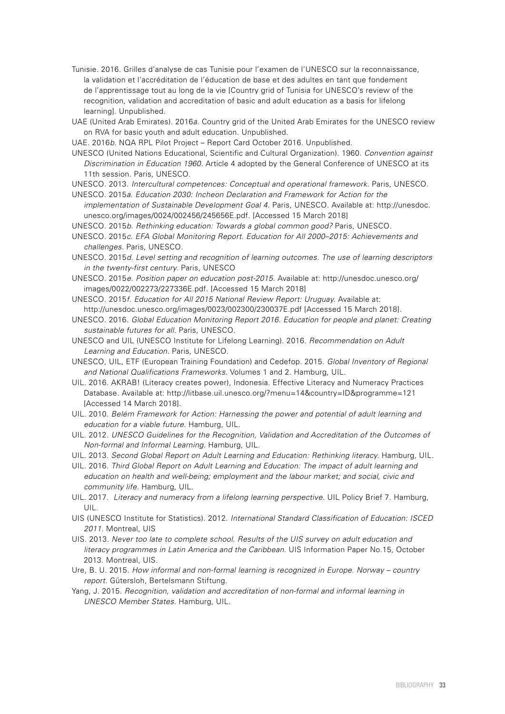- Tunisie. 2016. Grilles d'analyse de cas Tunisie pour l'examen de l'UNESCO sur la reconnaissance, la validation et l'accréditation de l'éducation de base et des adultes en tant que fondement de l'apprentissage tout au long de la vie [Country grid of Tunisia for UNESCO's review of the recognition, validation and accreditation of basic and adult education as a basis for lifelong learning]. Unpublished.
- UAE (United Arab Emirates). 2016*a*. Country grid of the United Arab Emirates for the UNESCO review on RVA for basic youth and adult education. Unpublished.

UAE. 2016*b*. NQA RPL Pilot Project – Report Card October 2016. Unpublished.

- UNESCO (United Nations Educational, Scientific and Cultural Organization). 1960. *Convention against Discrimination in Education 1960.* Article 4 adopted by the General Conference of UNESCO at its 11th session. Paris, UNESCO.
- UNESCO. 2013. *Intercultural competences: Conceptual and operational framework.* Paris, UNESCO.
- UNESCO. 2015*a. Education 2030: Incheon Declaration and Framework for Action for the implementation of Sustainable Development Goal 4.* Paris, UNESCO. Available at: [http://unesdoc.](http://unesdoc) unesco.org/images/0024/002456/245656E.pdf. [Accessed 15 March 2018]
- UNESCO. 2015*b. Rethinking education: Towards a global common good?* Paris, UNESCO.
- UNESCO. 2015*c. EFA Global Monitoring Report. Education for All 2000–2015: Achievements and challenges.* Paris, UNESCO.
- UNESCO. 2015*d. Level setting and recognition of learning outcomes. The use of learning descriptors in the twenty-first century.* Paris, UNESCO
- UNESCO. 2015*e. Position paper on education post-2015.* Available at: <http://unesdoc.unesco.org/> images/0022/002273/227336E.pdf. [Accessed 15 March 2018]
- UNESCO. 2015*f. Education for All 2015 National Review Report: Uruguay.* Available at: [http://unesdoc.unesco.org/images/0023/002300/230037E.pdf \[A](http://unesdoc.unesco.org/images/0023/002300/230037E.pdf)ccessed 15 March 2018].
- UNESCO. 2016. *Global Education Monitoring Report 2016. Education for people and planet: Creating sustainable futures for all.* Paris, UNESCO.
- UNESCO and UIL (UNESCO Institute for Lifelong Learning). 2016. *Recommendation on Adult Learning and Education.* Paris, UNESCO.
- UNESCO, UIL, ETF (European Training Foundation) and Cedefop. 2015*. Global Inventory of Regional and National Qualifications Frameworks*. Volumes 1 and 2. Hamburg, UIL.
- UIL. 2016. AKRAB! (Literacy creates power), Indonesia. Effective Literacy and Numeracy Practices Database. Available at: <http://litbase.uil.unesco.org/?menu=14&country=ID&programme=121> [Accessed 14 March 2018].
- UIL. 2010. *Belém Framework for Action: Harnessing the power and potential of adult learning and education for a viable future.* Hamburg, UIL.
- UIL. 2012. *UNESCO Guidelines for the Recognition, Validation and Accreditation of the Outcomes of Non-formal and Informal Learning.* Hamburg, UIL.
- UIL. 2013. *Second Global Report on Adult Learning and Education: Rethinking literacy.* Hamburg, UIL.
- UIL. 2016. *Third Global Report on Adult Learning and Education: The impact of adult learning and education on health and well-being; employment and the labour market; and social, civic and community life.* Hamburg, UIL.
- UIL. 2017. *Literacy and numeracy from a lifelong learning perspective.* UIL Policy Brief 7. Hamburg, UIL.
- UIS (UNESCO Institute for Statistics). 2012. *International Standard Classification of Education: ISCED 2011.* Montreal, UIS
- UIS. 2013. *Never too late to complete school. Results of the UIS survey on adult education and literacy programmes in Latin America and the Caribbean*. UIS Information Paper No.15, October 2013. Montreal, UIS.
- Ure, B. U. 2015. *How informal and non-formal learning is recognized in Europe. Norway country report.* Gütersloh, Bertelsmann Stiftung.
- Yang, J. 2015. *Recognition, validation and accreditation of non-formal and informal learning in UNESCO Member States.* Hamburg, UIL.